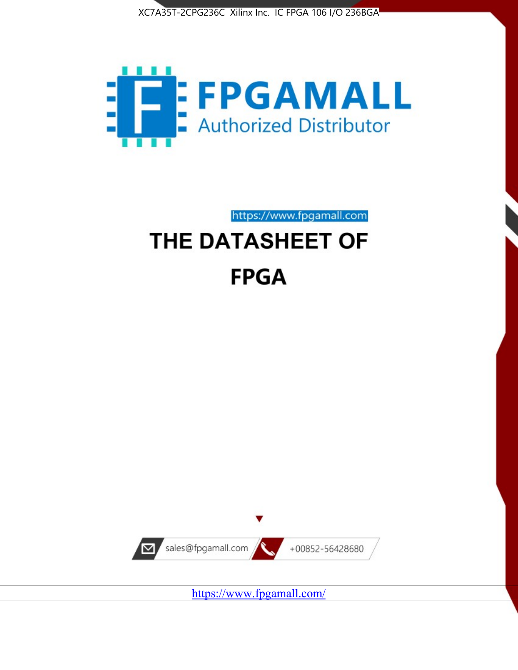



https://www.fpgamall.com

# THE DATASHEET OF **FPGA**



<https://www.fpgamall.com/>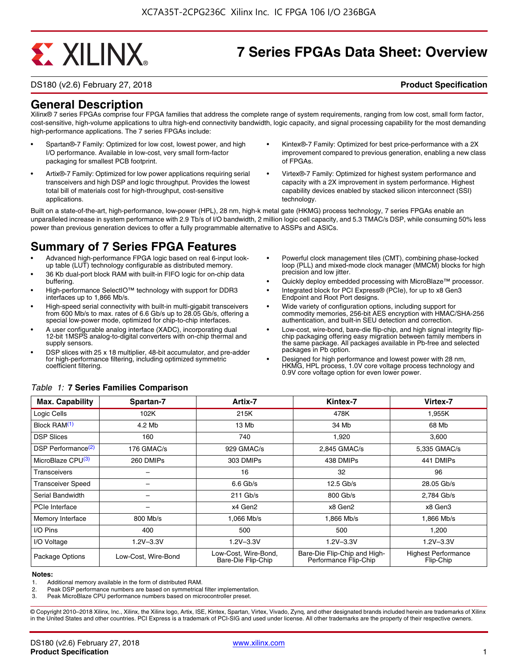# **EXALINX**

## **7 Series FPGAs Data Sheet: Overview**

DS180 (v2.6) February 27, 2018 **Product Specification**

#### **General Description**

Xilinx® 7 series FPGAs comprise four FPGA families that address the complete range of system requirements, ranging from low cost, small form factor, cost-sensitive, high-volume applications to ultra high-end connectivity bandwidth, logic capacity, and signal processing capability for the most demanding high-performance applications. The 7 series FPGAs include:

- Spartan®-7 Family: Optimized for low cost, lowest power, and high I/O performance. Available in low-cost, very small form-factor packaging for smallest PCB footprint.
- Artix®-7 Family: Optimized for low power applications requiring serial transceivers and high DSP and logic throughput. Provides the lowest total bill of materials cost for high-throughput, cost-sensitive applications.
- Kintex®-7 Family: Optimized for best price-performance with a 2X improvement compared to previous generation, enabling a new class of FPGAs.
- Virtex®-7 Family: Optimized for highest system performance and capacity with a 2X improvement in system performance. Highest capability devices enabled by stacked silicon interconnect (SSI) technology

Built on a state-of-the-art, high-performance, low-power (HPL), 28 nm, high-k metal gate (HKMG) process technology, 7 series FPGAs enable an unparalleled increase in system performance with 2.9 Tb/s of I/O bandwidth, 2 million logic cell capacity, and 5.3 TMAC/s DSP, while consuming 50% less power than previous generation devices to offer a fully programmable alternative to ASSPs and ASICs.

### **Summary of 7 Series FPGA Features**

- Advanced high-performance FPGA logic based on real 6-input lookup table (LUT) technology configurable as distributed memory.
- 36 Kb dual-port block RAM with built-in FIFO logic for on-chip data buffering.
- High-performance SelectIO™ technology with support for DDR3 interfaces up to 1,866 Mb/s.
- High-speed serial connectivity with built-in multi-gigabit transceivers from 600 Mb/s to max. rates of 6.6 Gb/s up to 28.05 Gb/s, offering a special low-power mode, optimized for chip-to-chip interfaces.
- A user configurable analog interface (XADC), incorporating dual 12-bit 1MSPS analog-to-digital converters with on-chip thermal and supply sensors.
- DSP slices with 25 x 18 multiplier, 48-bit accumulator, and pre-adder for high-performance filtering, including optimized symmetric coefficient filtering.
- Powerful clock management tiles (CMT), combining phase-locked loop (PLL) and mixed-mode clock manager (MMCM) blocks for high precision and low jitter.
- Quickly deploy embedded processing with MicroBlaze™ processor.
- Integrated block for PCI Express® (PCIe), for up to x8 Gen3 Endpoint and Root Port designs.
- Wide variety of configuration options, including support for commodity memories, 256-bit AES encryption with HMAC/SHA-256 authentication, and built-in SEU detection and correction.
- Low-cost, wire-bond, bare-die flip-chip, and high signal integrity flipchip packaging offering easy migration between family members in the same package. All packages available in Pb-free and selected packages in Pb option.
- Designed for high performance and lowest power with 28 nm, HKMG, HPL process, 1.0V core voltage process technology and 0.9V core voltage option for even lower power.

| <b>Max. Capability</b>         | Spartan-7           | Artix-7                                    | Kintex-7                                              | Virtex-7                                |
|--------------------------------|---------------------|--------------------------------------------|-------------------------------------------------------|-----------------------------------------|
| Logic Cells                    | 102K                | 215K                                       | 478K                                                  | 1,955K                                  |
| Block RAM <sup>(1)</sup>       | 4.2 Mb              | 13 Mb                                      | 34 Mb                                                 | 68 Mb                                   |
| <b>DSP Slices</b>              | 160                 | 740                                        | 1,920                                                 | 3,600                                   |
| DSP Performance <sup>(2)</sup> | 176 GMAC/s          | 929 GMAC/s                                 | 2,845 GMAC/s                                          | 5,335 GMAC/s                            |
| MicroBlaze CPU <sup>(3)</sup>  | 260 DMIPs           | 303 DMIPs                                  | 438 DMIPs                                             | 441 DMIPs                               |
| Transceivers                   |                     | 16                                         | 32                                                    | 96                                      |
| <b>Transceiver Speed</b>       |                     | $6.6$ Gb/s                                 | $12.5$ Gb/s                                           | 28.05 Gb/s                              |
| Serial Bandwidth               |                     | $211$ Gb/s                                 | 800 Gb/s                                              | 2,784 Gb/s                              |
| <b>PCIe Interface</b>          | -                   | x4 Gen2                                    | x8 Gen2                                               | x8 Gen3                                 |
| Memory Interface               | 800 Mb/s            | 1.066 Mb/s                                 | 1.866 Mb/s                                            | 1.866 Mb/s                              |
| I/O Pins                       | 400                 | 500                                        | 500                                                   | 1,200                                   |
| I/O Voltage                    | $1.2V - 3.3V$       | $1.2V - 3.3V$                              | $1.2V - 3.3V$                                         | $1.2V - 3.3V$                           |
| Package Options                | Low-Cost. Wire-Bond | Low-Cost, Wire-Bond,<br>Bare-Die Flip-Chip | Bare-Die Flip-Chip and High-<br>Performance Flip-Chip | <b>Highest Performance</b><br>Flip-Chip |

#### *Table 1:* **7 Series Families Comparison**

#### **Notes:**

1. Additional memory available in the form of distributed RAM.

2. Peak DSP performance numbers are based on symmetrical filter implementation.<br>3. Peak MicroBlaze CPU performance numbers based on microcontroller preset.

Peak MicroBlaze CPU performance numbers based on microcontroller preset.

© Copyright 2010–2018 Xilinx, Inc., Xilinx, the Xilinx logo, Artix, ISE, Kintex, Spartan, Virtex, Vivado, Zynq, and other designated brands included herein are trademarks of Xilinx in the United States and other countries. PCI Express is a trademark of PCI-SIG and used under license. All other trademarks are the property of their respective owners.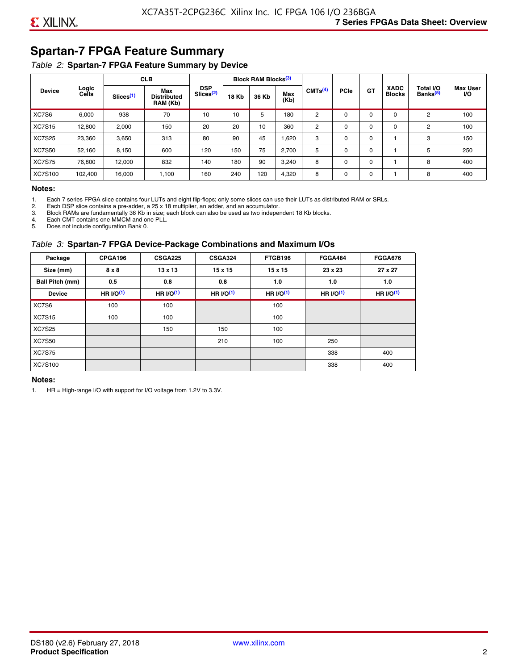### **Spartan-7 FPGA Feature Summary**

#### *Table 2:* **Spartan-7 FPGA Feature Summary by Device**

|               |                |                       | <b>CLB</b>                                                                                                                                                |                     |             | <b>Block RAM Blocks</b> <sup>(3)</sup> |                              |                                   |                              |             |          |   |     |
|---------------|----------------|-----------------------|-----------------------------------------------------------------------------------------------------------------------------------------------------------|---------------------|-------------|----------------------------------------|------------------------------|-----------------------------------|------------------------------|-------------|----------|---|-----|
| <b>Device</b> | Logic<br>Cells | Slices <sup>(1)</sup> | <b>DSP</b><br>Max<br>Slices <sup>(2)</sup><br>Max<br><b>18 Kb</b><br>36 Kb<br><b>Distributed</b><br>(Kb)<br>RAM (Kb)<br>938<br>70<br>10<br>5<br>180<br>10 | CMTS <sup>(4)</sup> | <b>PCle</b> | GT                                     | <b>XADC</b><br><b>Blocks</b> | Total I/O<br>Banks <sup>(5)</sup> | <b>Max User</b><br><b>VO</b> |             |          |   |     |
| XC7S6         | 6,000          |                       |                                                                                                                                                           |                     |             |                                        |                              | 2                                 | $\Omega$                     | $\Omega$    | $\Omega$ | 2 | 100 |
| <b>XC7S15</b> | 12,800         | 2,000                 | 150                                                                                                                                                       | 20                  | 20          | 10                                     | 360                          | 2                                 | 0                            | $\mathbf 0$ | 0        | 2 | 100 |
| <b>XC7S25</b> | 23,360         | 3,650                 | 313                                                                                                                                                       | 80                  | 90          | 45                                     | 1,620                        | 3                                 | 0                            | 0           |          | 3 | 150 |
| <b>XC7S50</b> | 52,160         | 8,150                 | 600                                                                                                                                                       | 120                 | 150         | 75                                     | 2,700                        | 5                                 | $\Omega$                     | 0           |          | 5 | 250 |
| <b>XC7S75</b> | 76,800         | 12.000                | 832                                                                                                                                                       | 140                 | 180         | 90                                     | 3,240                        | 8                                 | 0                            | 0           |          | 8 | 400 |
| XC7S100       | 102,400        | 16,000                | 1,100                                                                                                                                                     | 160                 | 240         | 120                                    | 4,320                        | 8                                 | 0                            | $\mathbf 0$ |          | 8 | 400 |

#### **Notes:**

1. Each 7 series FPGA slice contains four LUTs and eight flip-flops; only some slices can use their LUTs as distributed RAM or SRLs.<br>2. Each DSP slice contains a pre-adder. a 25 x 18 multiplier. an adder. and an accumulato

2. Each DSP slice contains a pre-adder, a 25 x 18 multiplier, an adder, and an accumulator. 3. Block RAMs are fundamentally 36 Kb in size; each block can also be used as two independent 18 Kb blocks.

4. Each CMT contains one MMCM and one PLL.

5. Does not include configuration Bank 0.

#### *Table 3:* **Spartan-7 FPGA Device-Package Combinations and Maximum I/Os**

| Package         | CPGA196    | <b>CSGA225</b> | <b>CSGA324</b> | FTGB196    | <b>FGGA484</b> | <b>FGGA676</b> |
|-----------------|------------|----------------|----------------|------------|----------------|----------------|
| Size (mm)       | 8 x 8      | 13 x 13        | $15 \times 15$ | 15 x 15    | 23 x 23        | 27 x 27        |
| Ball Pitch (mm) | 0.5        | 0.8            | 0.8            | 1.0        | 1.0            | 1.0            |
| <b>Device</b>   | HR $UO(1)$ | HR $UO(1)$     | HR $UO(1)$     | HR $UO(1)$ | HR $UO(1)$     | HR $l/O(1)$    |
| XC7S6           | 100        | 100            |                | 100        |                |                |
| <b>XC7S15</b>   | 100        | 100            |                | 100        |                |                |
| <b>XC7S25</b>   |            | 150            | 150            | 100        |                |                |
| <b>XC7S50</b>   |            |                | 210            | 100        | 250            |                |
| <b>XC7S75</b>   |            |                |                |            | 338            | 400            |
| <b>XC7S100</b>  |            |                |                |            | 338            | 400            |

#### **Notes:**

1. HR = High-range I/O with support for I/O voltage from 1.2V to 3.3V.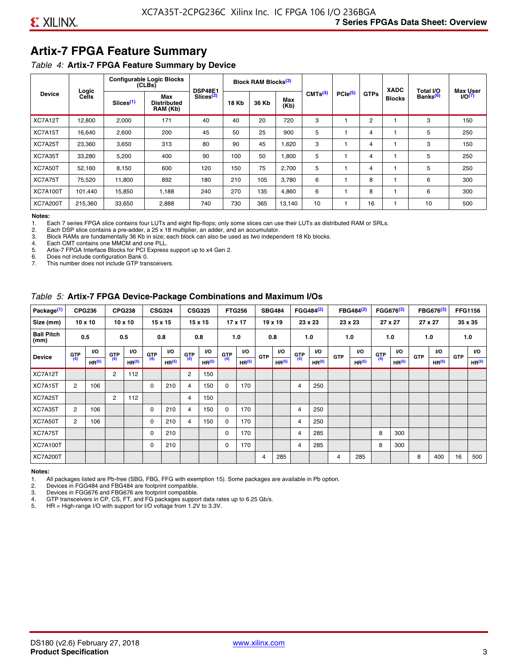### **Artix-7 FPGA Feature Summary**

#### *Table 4:* **Artix-7 FPGA Feature Summary by Device**

|                 | Logic   |                       | <b>Configurable Logic Blocks</b><br>(CLBs) | <b>DSP48E1</b>        |       | Block RAM Blocks <sup>(3)</sup> |             |                     |              |             | <b>XADC</b>   | Total I/O            | <b>Max User</b> |
|-----------------|---------|-----------------------|--------------------------------------------|-----------------------|-------|---------------------------------|-------------|---------------------|--------------|-------------|---------------|----------------------|-----------------|
| <b>Device</b>   | Cells   | Slices <sup>(1)</sup> | Max<br><b>Distributed</b><br>RAM (Kb)      | Slices <sup>(2)</sup> | 18 Kb | 36 Kb                           | Max<br>(Kb) | CMTS <sup>(4)</sup> | $PC1e^{(5)}$ | <b>GTPs</b> | <b>Blocks</b> | Banks <sup>(6)</sup> | 1/O(7)          |
| XC7A12T         | 12,800  | 2,000                 | 171                                        | 40                    | 40    | 20                              | 720         | 3                   |              | 2           |               | 3                    | 150             |
| XC7A15T         | 16,640  | 2,600                 | 200                                        | 45                    | 50    | 25                              | 900         | 5                   |              | 4           |               | 5                    | 250             |
| XC7A25T         | 23,360  | 3,650                 | 313                                        | 80                    | 90    | 45                              | 1,620       | 3                   |              | 4           |               | 3                    | 150             |
| XC7A35T         | 33,280  | 5,200                 | 400                                        | 90                    | 100   | 50                              | 1,800       | 5                   |              | 4           |               | 5                    | 250             |
| XC7A50T         | 52,160  | 8,150                 | 600                                        | 120                   | 150   | 75                              | 2,700       | 5                   |              | 4           |               | 5                    | 250             |
| XC7A75T         | 75,520  | 11.800                | 892                                        | 180                   | 210   | 105                             | 3.780       | 6                   |              | 8           |               | 6                    | 300             |
| <b>XC7A100T</b> | 101.440 | 15,850                | 1,188                                      | 240                   | 270   | 135                             | 4,860       | 6                   |              | 8           |               | 6                    | 300             |
| <b>XC7A200T</b> | 215,360 | 33,650                | 2,888                                      | 740                   | 730   | 365                             | 13,140      | 10                  |              | 16          |               | 10                   | 500             |

**Notes:**  Each 7 series FPGA slice contains four LUTs and eight flip-flops; only some slices can use their LUTs as distributed RAM or SRLs.

2. Each DSP slice contains a pre-adder, a 25 x 18 multiplier, an adder, and an accumulator.

3. Block RAMs are fundamentally 36 Kb in size; each block can also be used as two independent 18 Kb blocks.

4. Each CMT contains one MMCM and one PLL.<br>5. Artix-7 FPGA Interface Blocks for PCI Express

5. Artix-7 FPGA Interface Blocks for PCI Express support up to x4 Gen 2.<br>6. Does not include configuration Bank 0.

6. Does not include configuration Bank 0.

This number does not include GTP transceivers.

#### *Table 5:* **Artix-7 FPGA Device-Package Combinations and Maximum I/Os**

| Package <sup>(1)</sup>    |            | <b>CPG236</b>     |                | <b>CPG238</b>  |            | <b>CSG324</b> |                | <b>CSG325</b>     |       | <b>FTG256</b>     |            | <b>SBG484</b>     |                | FGG484 <sup>(2)</sup> |                | FBG484 <sup>(2)</sup> |       | FGG676 <sup>(3)</sup> |            | FBG676 <sup>(3)</sup> |            | <b>FFG1156</b> |
|---------------------------|------------|-------------------|----------------|----------------|------------|---------------|----------------|-------------------|-------|-------------------|------------|-------------------|----------------|-----------------------|----------------|-----------------------|-------|-----------------------|------------|-----------------------|------------|----------------|
| Size (mm)                 |            | $10 \times 10$    |                | $10 \times 10$ |            | 15 x 15       |                | 15 x 15           |       | $17 \times 17$    |            | $19 \times 19$    |                | 23 x 23               |                | 23 x 23               |       | 27 x 27               |            | 27 x 27               |            | 35 x 35        |
| <b>Ball Pitch</b><br>(mm) |            | 0.5               |                | 0.5            |            | 0.8           | 0.8            |                   |       | 1.0               |            | 0.8               |                | 1.0                   |                | 1.0                   |       | 1.0                   |            | 1.0                   |            | 1.0            |
| <b>Device</b>             | <b>GTP</b> | <b>VO</b>         | <b>GTP</b>     | <b>VO</b>      | <b>GTP</b> | <b>VO</b>     | <b>GTP</b>     | <b>VO</b>         | G(TP) | VO.               | <b>GTP</b> | VO.               | G(TP)          | <b>VO</b>             | <b>GTP</b>     | <b>VO</b>             | G(TP) | <b>VO</b>             | <b>GTP</b> | <b>VO</b>             | <b>GTP</b> | <b>VO</b>      |
|                           | (4)        | HR <sup>(5)</sup> | (4)            | HR(5)          | (4)        | HP(5)         | (4)            | HR <sup>(5)</sup> |       | HR <sup>(5)</sup> |            | HR <sup>(5)</sup> |                | HR <sup>(5)</sup>     |                | HR <sup>(5)</sup>     |       | HR <sup>(5)</sup>     |            | HR <sup>(5)</sup>     |            | HR(5)          |
| XC7A12T                   |            |                   | $\overline{2}$ | 112            |            |               | $\overline{2}$ | 150               |       |                   |            |                   |                |                       |                |                       |       |                       |            |                       |            |                |
| XC7A15T                   | 2          | 106               |                |                | 0          | 210           | 4              | 150               | 0     | 170               |            |                   | $\overline{4}$ | 250                   |                |                       |       |                       |            |                       |            |                |
| XC7A25T                   |            |                   | 2              | 112            |            |               | 4              | 150               |       |                   |            |                   |                |                       |                |                       |       |                       |            |                       |            |                |
| XC7A35T                   | 2          | 106               |                |                | 0          | 210           | 4              | 150               | 0     | 170               |            |                   | 4              | 250                   |                |                       |       |                       |            |                       |            |                |
| XC7A50T                   | 2          | 106               |                |                | 0          | 210           | 4              | 150               | 0     | 170               |            |                   | 4              | 250                   |                |                       |       |                       |            |                       |            |                |
| XC7A75T                   |            |                   |                |                | 0          | 210           |                |                   | 0     | 170               |            |                   | 4              | 285                   |                |                       | 8     | 300                   |            |                       |            |                |
| <b>XC7A100T</b>           |            |                   |                |                | 0          | 210           |                |                   | 0     | 170               |            |                   | $\overline{4}$ | 285                   |                |                       | 8     | 300                   |            |                       |            |                |
| <b>XC7A200T</b>           |            |                   |                |                |            |               |                |                   |       |                   | 4          | 285               |                |                       | $\overline{4}$ | 285                   |       |                       | 8          | 400                   | 16         | 500            |

#### **Notes:**

1. All packages listed are Pb-free (SBG, FBG, FFG with exemption 15). Some packages are available in Pb option.

2. Devices in FGG484 and FBG484 are footprint compatible.

3. Devices in FGG676 and FBG676 are footprint compatible.

4. GTP transceivers in CP, CS, FT, and FG packages support data rates up to 6.25 Gb/s.<br>5. HR = High-range I/O with support for I/O voltage from 1.2V to 3.3V.

HR = High-range I/O with support for I/O voltage from 1.2V to 3.3V.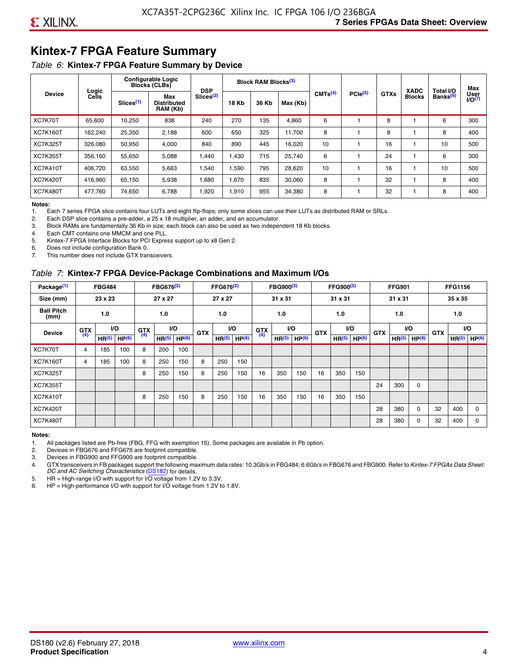### **Kintex-7 FPGA Feature Summary**

#### *Table 6:* **Kintex-7 FPGA Feature Summary by Device**

|                 |                |                       | <b>Configurable Logic</b><br><b>Blocks (CLBs)</b> | <b>DSP</b>            |              | Block RAM Blocks <sup>(3)</sup> |          |                     |                     |             | <b>XADC</b>   | Total I/O            | Max            |
|-----------------|----------------|-----------------------|---------------------------------------------------|-----------------------|--------------|---------------------------------|----------|---------------------|---------------------|-------------|---------------|----------------------|----------------|
| <b>Device</b>   | Logic<br>Cells | Slices <sup>(1)</sup> | Max<br>Distributed<br>RAM (Kb)                    | Slices <sup>(2)</sup> | <b>18 Kb</b> | 36 Kb                           | Max (Kb) | CMTS <sup>(4)</sup> | PCle <sup>(5)</sup> | <b>GTXs</b> | <b>Blocks</b> | Banks <sup>(6)</sup> | User<br>1/O(7) |
| XC7K70T         | 65.600         | 10,250                | 838                                               | 240                   | 270          | 135                             | 4,860    | 6                   |                     | 8           |               | 6                    | 300            |
| <b>XC7K160T</b> | 162,240        | 25,350                | 2,188                                             | 600                   | 650          | 325                             | 11,700   | 8                   |                     | 8           |               | 8                    | 400            |
| <b>XC7K325T</b> | 326.080        | 50,950                | 4,000                                             | 840                   | 890          | 445                             | 16,020   | 10                  |                     | 16          |               | 10                   | 500            |
| <b>XC7K355T</b> | 356.160        | 55,650                | 5,088                                             | 1.440                 | 1.430        | 715                             | 25,740   | 6                   |                     | 24          |               | 6                    | 300            |
| <b>XC7K410T</b> | 406.720        | 63,550                | 5,663                                             | .540                  | 1,590        | 795                             | 28,620   | 10                  |                     | 16          |               | 10                   | 500            |
| <b>XC7K420T</b> | 416.960        | 65.150                | 5,938                                             | 1,680                 | 1,670        | 835                             | 30,060   | 8                   |                     | 32          |               | 8                    | 400            |
| <b>XC7K480T</b> | 477,760        | 74,650                | 6,788                                             | 1,920                 | 1,910        | 955                             | 34,380   | 8                   |                     | 32          |               | 8                    | 400            |

#### **Notes:**

1. Each 7 series FPGA slice contains four LUTs and eight flip-flops; only some slices can use their LUTs as distributed RAM or SRLs.<br>2. Each DSP slice contains a pre-adder, a 25 x 18 multiplier, an adder, and an accumulato

Each DSP slice contains a pre-adder, a 25 x 18 multiplier, an adder, and an accumulator.

3. Block RAMs are fundamentally 36 Kb in size; each block can also be used as two independent 18 Kb blocks.

4. Each CMT contains one MMCM and one PLL.

5. Kintex-7 FPGA Interface Blocks for PCI Express support up to x8 Gen 2.

6. Does not include configuration Bank 0.

7. This number does not include GTX transceivers.

#### *Table 7:* **Kintex-7 FPGA Device-Package Combinations and Maximum I/Os**

| Package <sup>(1)</sup>    |            | <b>FBG484</b>     |                   |            | FBG676 <sup>(2)</sup> |                   |            | FFG676 <sup>(2)</sup> |                   |            | FBG900 <sup>(3)</sup> |                   |            | FFG900 <sup>(3)</sup> |                   |            | <b>FFG901</b>     |                   |            | <b>FFG1156</b>    |                   |
|---------------------------|------------|-------------------|-------------------|------------|-----------------------|-------------------|------------|-----------------------|-------------------|------------|-----------------------|-------------------|------------|-----------------------|-------------------|------------|-------------------|-------------------|------------|-------------------|-------------------|
| Size (mm)                 |            | 23 x 23           |                   |            | 27 x 27               |                   |            | 27 x 27               |                   |            | 31 x 31               |                   |            | 31 x 31               |                   |            | 31 x 31           |                   |            | 35 x 35           |                   |
| <b>Ball Pitch</b><br>(mm) |            | 1.0               |                   |            | 1.0<br><b>VO</b>      |                   |            | 1.0                   |                   |            | 1.0                   |                   |            | 1.0                   |                   |            | 1.0               |                   |            | 1.0               |                   |
| <b>Device</b>             | <b>GTX</b> |                   | VO.               | <b>GTX</b> |                       |                   | <b>GTX</b> |                       | <b>VO</b>         | <b>GTX</b> |                       | <b>VO</b>         | <b>GTX</b> | <b>VO</b>             |                   | <b>GTX</b> |                   | VO                | <b>GTX</b> | <b>VO</b>         |                   |
|                           | (4)        | HR <sup>(5)</sup> | HP <sup>(6)</sup> | (4)        | HR <sup>(5)</sup>     | HP <sup>(6)</sup> |            | HR <sup>(5)</sup>     | HP <sup>(6)</sup> | (4)        | HR <sup>(5)</sup>     | HP <sup>(6)</sup> |            | HR <sup>(5)</sup>     | HP <sup>(6)</sup> |            | HR <sup>(5)</sup> | HP <sup>(6)</sup> |            | HR <sup>(5)</sup> | HP <sup>(6)</sup> |
| XC7K70T                   | 4          | 185               | 100               | 8          | 200                   | 100               |            |                       |                   |            |                       |                   |            |                       |                   |            |                   |                   |            |                   |                   |
| <b>XC7K160T</b>           | 4          | 185               | 100               | 8          | 250                   | 150               | 8          | 250                   | 150               |            |                       |                   |            |                       |                   |            |                   |                   |            |                   |                   |
| <b>XC7K325T</b>           |            |                   |                   | 8          | 250                   | 150               | 8          | 250                   | 150               | 16         | 350                   | 150               | 16         | 350                   | 150               |            |                   |                   |            |                   |                   |
| <b>XC7K355T</b>           |            |                   |                   |            |                       |                   |            |                       |                   |            |                       |                   |            |                       |                   | 24         | 300               | 0                 |            |                   |                   |
| <b>XC7K410T</b>           |            |                   |                   | 8          | 250                   | 150               | 8          | 250                   | 150               | 16         | 350                   | 150               | 16         | 350                   | 150               |            |                   |                   |            |                   |                   |
| <b>XC7K420T</b>           |            |                   |                   |            |                       |                   |            |                       |                   |            |                       |                   |            |                       |                   | 28         | 380               | $\Omega$          | 32         | 400               | $\Omega$          |
| <b>XC7K480T</b>           |            |                   |                   |            |                       |                   |            |                       |                   |            |                       |                   |            |                       |                   | 28         | 380               | 0                 | 32         | 400               | $\Omega$          |

#### **Notes:**

1. All packages listed are Pb-free (FBG, FFG with exemption 15). Some packages are available in Pb option.

2. Devices in FBG676 and FFG676 are footprint compatible.

3. Devices in FBG900 and FFG900 are footprint compatible. 4. GTX transceivers in FB packages support the following maximum data rates: 10.3Gb/s in FBG484; 6.6Gb/s in FBG676 and FBG900. Refer to *Kintex-7 FPGAs Data Sheet: DC and AC Switching Characteristics* [\(DS182](https://www.xilinx.com/support/documentation/data_sheets/ds182_Kintex_7_Data_Sheet.pdf)) for details.

5. HR = High-range I/O with support for I/O voltage from 1.2V to 3.3V.

6. HP = High-performance I/O with support for I/O voltage from 1.2V to 1.8V.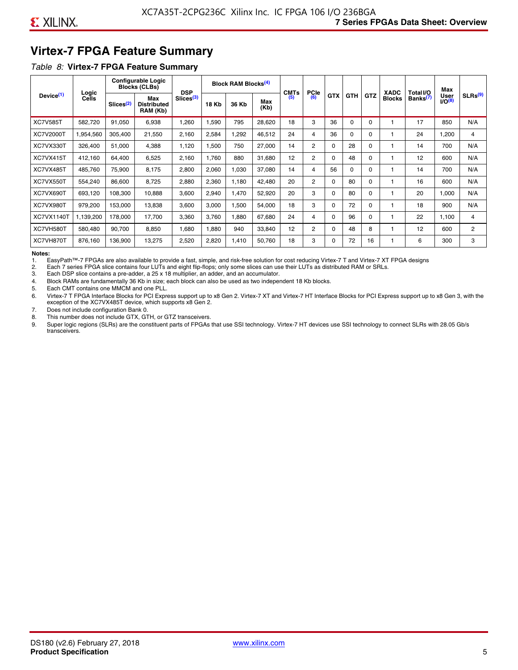### **Virtex-7 FPGA Feature Summary**

#### *Table 8:* **Virtex-7 FPGA Feature Summary**

|                       |                |                       | <b>Configurable Logic</b><br><b>Blocks (CLBs)</b> | <b>DSP</b>            |       | <b>Block RAM Blocks<sup>(4)</sup></b> |             | <b>CMTs</b> | <b>PCIe</b>    |            |            |          | <b>XADC</b>   | Total I/O            | Max                              |                     |
|-----------------------|----------------|-----------------------|---------------------------------------------------|-----------------------|-------|---------------------------------------|-------------|-------------|----------------|------------|------------|----------|---------------|----------------------|----------------------------------|---------------------|
| Device <sup>(1)</sup> | Logic<br>Cells | Slices <sup>(2)</sup> | Max<br><b>Distributed</b><br>RAM (Kb)             | Slices <sup>(3)</sup> | 18 Kb | 36 Kb                                 | Max<br>(Kb) | (5)         | (6)            | <b>GTX</b> | <b>GTH</b> | GTZ      | <b>Blocks</b> | Banks <sup>(7)</sup> | <b>User</b><br>IO <sup>(8)</sup> | SLRs <sup>(9)</sup> |
| <b>XC7V585T</b>       | 582.720        | 91,050                | 6,938                                             | .260                  | 1,590 | 795                                   | 28,620      | 18          | 3              | 36         | $\Omega$   | 0        |               | 17                   | 850                              | N/A                 |
| <b>XC7V2000T</b>      | 1,954,560      | 305,400               | 21,550                                            | 2,160                 | 2,584 | ,292                                  | 46,512      | 24          | 4              | 36         | $\Omega$   | $\Omega$ |               | 24                   | 1,200                            | 4                   |
| XC7VX330T             | 326,400        | 51,000                | 4,388                                             | 1,120                 | 1,500 | 750                                   | 27,000      | 14          | $\overline{2}$ | $\Omega$   | 28         | 0        |               | 14                   | 700                              | N/A                 |
| XC7VX415T             | 412.160        | 64.400                | 6,525                                             | 2,160                 | 1.760 | 880                                   | 31,680      | 12          | $\overline{2}$ | $\Omega$   | 48         | $\Omega$ |               | 12                   | 600                              | N/A                 |
| XC7VX485T             | 485,760        | 75,900                | 8,175                                             | 2,800                 | 2,060 | 1,030                                 | 37,080      | 14          | 4              | 56         | $\Omega$   | $\Omega$ |               | 14                   | 700                              | N/A                 |
| XC7VX550T             | 554,240        | 86,600                | 8,725                                             | 2,880                 | 2,360 | 1,180                                 | 42,480      | 20          | $\overline{2}$ | $\Omega$   | 80         | $\Omega$ |               | 16                   | 600                              | N/A                 |
| XC7VX690T             | 693,120        | 108,300               | 10,888                                            | 3,600                 | 2,940 | 1,470                                 | 52,920      | 20          | 3              | $\Omega$   | 80         | $\Omega$ |               | 20                   | 1,000                            | N/A                 |
| XC7VX980T             | 979,200        | 153,000               | 13,838                                            | 3,600                 | 3,000 | <b>.500</b>                           | 54,000      | 18          | 3              | $\Omega$   | 72         | $\Omega$ |               | 18                   | 900                              | N/A                 |
| <b>XC7VX1140T</b>     | 1,139,200      | 178.000               | 17.700                                            | 3,360                 | 3,760 | ,880                                  | 67,680      | 24          | 4              | $\Omega$   | 96         | $\Omega$ |               | 22                   | 1.100                            | 4                   |
| XC7VH580T             | 580,480        | 90,700                | 8,850                                             | <b>080.</b>           | 1,880 | 940                                   | 33,840      | 12          | 2              | $\Omega$   | 48         | 8        |               | 12                   | 600                              | $\overline{c}$      |
| XC7VH870T             | 876,160        | 136,900               | 13,275                                            | 2,520                 | 2,820 | 1,410                                 | 50,760      | 18          | 3              | $\Omega$   | 72         | 16       |               | 6                    | 300                              | 3                   |

#### **Notes:**

1. EasyPath™-7 FPGAs are also available to provide a fast, simple, and risk-free solution for cost reducing Virtex-7 T and Virtex-7 XT FPGA designs

2. Each 7 series FPGA slice contains four LUTs and eight flip-flops; only some slices can use their LUTs as distributed RAM or SRLs.

Each DSP slice contains a pre-adder, a 25 x 18 multiplier, an adder, and an accumulator.

4. Block RAMs are fundamentally 36 Kb in size; each block can also be used as two independent 18 Kb blocks.

5. Each CMT contains one MMCM and one PLL.

6. Virtex-7 T FPGA Interface Blocks for PCI Express support up to x8 Gen 2. Virtex-7 XT and Virtex-7 HT Interface Blocks for PCI Express support up to x8 Gen 3, with the exception of the XC7VX485T device, which supports x8 Gen 2.

7. Does not include configuration Bank 0.

8. This number does not include GTX, GTH, or GTZ transceivers.

9. Super logic regions (SLRs) are the constituent parts of FPGAs that use SSI technology. Virtex-7 HT devices use SSI technology to connect SLRs with 28.05 Gb/s transceivers.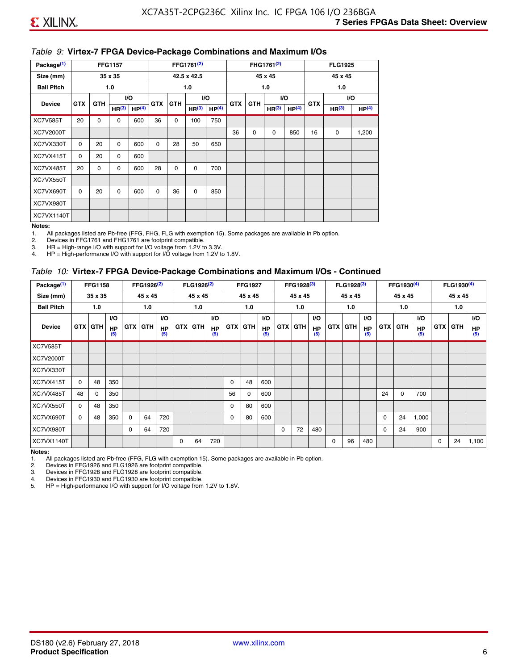#### *Table 9:* **Virtex-7 FPGA Device-Package Combinations and Maximum I/Os**

| Package <sup>(1)</sup> |            |             | <b>FFG1157</b>    |                   |            |            | FFG1761 <sup>(2)</sup> |                   |            |             | FHG1761 <sup>(2)</sup> |                   |            | <b>FLG1925</b>    |                   |
|------------------------|------------|-------------|-------------------|-------------------|------------|------------|------------------------|-------------------|------------|-------------|------------------------|-------------------|------------|-------------------|-------------------|
| Size (mm)              |            |             | 35 x 35           |                   |            |            | 42.5 x 42.5            |                   |            |             | 45 x 45                |                   |            | 45 x 45           |                   |
| <b>Ball Pitch</b>      |            |             | 1.0               |                   |            |            | 1.0                    |                   |            |             | 1.0                    |                   |            | 1.0               |                   |
| <b>Device</b>          | <b>GTX</b> | <b>GTH</b>  |                   | VO.               | <b>GTX</b> | <b>GTH</b> |                        | I/O               | <b>GTX</b> | <b>GTH</b>  | VO.                    |                   | <b>GTX</b> |                   | VO.               |
|                        |            |             | HR <sup>(3)</sup> | HP <sup>(4)</sup> |            |            | HR <sup>(3)</sup>      | HP <sup>(4)</sup> |            |             | HR <sup>(3)</sup>      | HP <sup>(4)</sup> |            | HR <sup>(3)</sup> | HP <sup>(4)</sup> |
| <b>XC7V585T</b>        | 20         | $\mathbf 0$ | 0                 | 600               | 36         | 0          | 100                    | 750               |            |             |                        |                   |            |                   |                   |
| XC7V2000T              |            |             |                   |                   |            |            |                        |                   | 36         | $\mathbf 0$ | $\mathbf 0$            | 850               | 16         | 0                 | 1,200             |
| XC7VX330T              | $\Omega$   | 20          | $\Omega$          | 600               | $\Omega$   | 28         | 50                     | 650               |            |             |                        |                   |            |                   |                   |
| XC7VX415T              | $\Omega$   | 20          | $\Omega$          | 600               |            |            |                        |                   |            |             |                        |                   |            |                   |                   |
| XC7VX485T              | 20         | 0           | 0                 | 600               | 28         | 0          | 0                      | 700               |            |             |                        |                   |            |                   |                   |
| XC7VX550T              |            |             |                   |                   |            |            |                        |                   |            |             |                        |                   |            |                   |                   |
| XC7VX690T              | $\Omega$   | 20          | $\Omega$          | 600               | $\Omega$   | 36         | 0                      | 850               |            |             |                        |                   |            |                   |                   |
| XC7VX980T              |            |             |                   |                   |            |            |                        |                   |            |             |                        |                   |            |                   |                   |
| XC7VX1140T             |            |             |                   |                   |            |            |                        |                   |            |             |                        |                   |            |                   |                   |

#### **Notes:**

1. All packages listed are Pb-free (FFG, FHG, FLG with exemption 15). Some packages are available in Pb option.

2. Devices in FFG1761 and FHG1761 are footprint compatible.<br>3. HR = High-range I/O with support for I/O voltage from 1.2V to

HR = High-range I/O with support for I/O voltage from 1.2V to 3.3V.

4. HP = High-performance I/O with support for I/O voltage from 1.2V to 1.8V.

#### *Table 10:* **Virtex-7 FPGA Device-Package Combinations and Maximum I/Os - Continued**

| Package <sup>(1)</sup> |          | <b>FFG1158</b> |                  |            | FFG1926 <sup>(2)</sup> |                  |            | FLG1926 <sup>(2)</sup> |                  |    | <b>FFG1927</b> |                  |            | FFG1928 <sup>(3)</sup> |                  |            | FLG1928 <sup>(3)</sup> |                  |            | FFG1930 <sup>(4)</sup> |           |            | FLG1930 <sup>(4)</sup> |                  |
|------------------------|----------|----------------|------------------|------------|------------------------|------------------|------------|------------------------|------------------|----|----------------|------------------|------------|------------------------|------------------|------------|------------------------|------------------|------------|------------------------|-----------|------------|------------------------|------------------|
| Size (mm)              |          | 35 x 35        |                  |            | 45 x 45                |                  |            | 45 x 45                |                  |    | 45 x 45        |                  |            | 45 x 45                |                  |            | 45 x 45                |                  |            | 45 x 45                |           |            | 45 x 45                |                  |
| <b>Ball Pitch</b>      |          | 1.0            |                  |            | 1.0                    |                  |            | 1.0                    |                  |    | 1.0            |                  |            | 1.0                    |                  |            | 1.0                    |                  |            | 1.0                    |           |            | 1.0                    |                  |
|                        |          |                | <b>VO</b>        |            |                        | <b>VO</b>        |            |                        | VO.              |    |                | <b>VO</b>        |            |                        | <b>VO</b>        |            |                        | <b>VO</b>        |            |                        | <b>VO</b> |            |                        | <b>VO</b>        |
| <b>Device</b>          |          | <b>GTX GTH</b> | <b>HP</b><br>(5) | <b>GTX</b> | <b>GTH</b>             | <b>HP</b><br>(5) | <b>GTX</b> | <b>GTH</b>             | <b>HP</b><br>(5) |    | <b>GTX GTH</b> | <b>HP</b><br>(5) | <b>GTX</b> | <b>GTH</b>             | <b>HP</b><br>(5) | <b>GTX</b> | <b>GTH</b>             | <b>HP</b><br>(5) | <b>GTX</b> | GTH                    | HP<br>(5) | <b>GTX</b> | GTH                    | <b>HP</b><br>(5) |
| <b>XC7V585T</b>        |          |                |                  |            |                        |                  |            |                        |                  |    |                |                  |            |                        |                  |            |                        |                  |            |                        |           |            |                        |                  |
| <b>XC7V2000T</b>       |          |                |                  |            |                        |                  |            |                        |                  |    |                |                  |            |                        |                  |            |                        |                  |            |                        |           |            |                        |                  |
| XC7VX330T              |          |                |                  |            |                        |                  |            |                        |                  |    |                |                  |            |                        |                  |            |                        |                  |            |                        |           |            |                        |                  |
| XC7VX415T              | $\Omega$ | 48             | 350              |            |                        |                  |            |                        |                  | 0  | 48             | 600              |            |                        |                  |            |                        |                  |            |                        |           |            |                        |                  |
| XC7VX485T              | 48       | $\Omega$       | 350              |            |                        |                  |            |                        |                  | 56 | 0              | 600              |            |                        |                  |            |                        |                  | 24         | $\Omega$               | 700       |            |                        |                  |
| XC7VX550T              | $\Omega$ | 48             | 350              |            |                        |                  |            |                        |                  | 0  | 80             | 600              |            |                        |                  |            |                        |                  |            |                        |           |            |                        |                  |
| XC7VX690T              | $\Omega$ | 48             | 350              | $\Omega$   | 64                     | 720              |            |                        |                  | 0  | 80             | 600              |            |                        |                  |            |                        |                  | 0          | 24                     | 1,000     |            |                        |                  |
| XC7VX980T              |          |                |                  | $\Omega$   | 64                     | 720              |            |                        |                  |    |                |                  | $\Omega$   | 72                     | 480              |            |                        |                  | 0          | 24                     | 900       |            |                        |                  |
| <b>XC7VX1140T</b>      |          |                |                  |            |                        |                  | $\Omega$   | 64                     | 720              |    |                |                  |            |                        |                  | $\Omega$   | 96                     | 480              |            |                        |           | $\Omega$   | 24                     | 1,100            |

**Notes:** 

1. All packages listed are Pb-free (FFG, FLG with exemption 15). Some packages are available in Pb option.<br>2. Devices in FFG1926 and FLG1926 are footprint compatible.

2. Devices in FFG1926 and FLG1926 are footprint compatible.

3. Devices in FFG1928 and FLG1928 are footprint compatible.

4. Devices in FFG1930 and FLG1930 are footprint compatible.<br>5. HP = High-performance I/O with support for I/O voltage from HP = High-performance I/O with support for I/O voltage from 1.2V to 1.8V.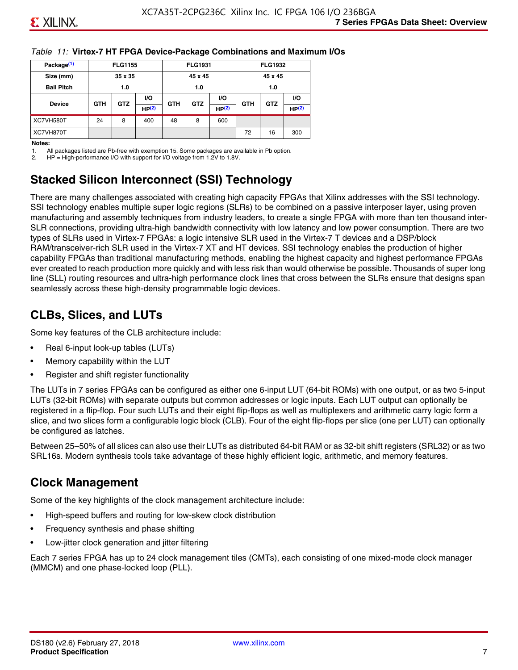#### *Table 11:* **Virtex-7 HT FPGA Device-Package Combinations and Maximum I/Os**

| Package <sup>(1)</sup> |            | <b>FLG1155</b> |       |            | <b>FLG1931</b> |                   |            | <b>FLG1932</b> |                   |
|------------------------|------------|----------------|-------|------------|----------------|-------------------|------------|----------------|-------------------|
| Size (mm)              |            | 35 x 35        |       |            | 45 x 45        |                   |            | 45 x 45        |                   |
| <b>Ball Pitch</b>      |            | 1.0            |       |            | 1.0            |                   |            | 1.0            |                   |
|                        |            |                | VO.   |            |                | <b>VO</b>         |            |                | VO.               |
| <b>Device</b>          | <b>GTH</b> | <b>GTZ</b>     | HP(2) | <b>GTH</b> | <b>GTZ</b>     | HP <sup>(2)</sup> | <b>GTH</b> | <b>GTZ</b>     | HP <sup>(2)</sup> |
| XC7VH580T              | 24         | 8              | 400   | 48         | 8              | 600               |            |                |                   |
| XC7VH870T              |            |                |       |            |                |                   | 72         | 16             | 300               |

#### **Notes:**

1. All packages listed are Pb-free with exemption 15. Some packages are available in Pb option.

2. HP = High-performance I/O with support for I/O voltage from 1.2V to 1.8V.

### **Stacked Silicon Interconnect (SSI) Technology**

There are many challenges associated with creating high capacity FPGAs that Xilinx addresses with the SSI technology. SSI technology enables multiple super logic regions (SLRs) to be combined on a passive interposer layer, using proven manufacturing and assembly techniques from industry leaders, to create a single FPGA with more than ten thousand inter-SLR connections, providing ultra-high bandwidth connectivity with low latency and low power consumption. There are two types of SLRs used in Virtex-7 FPGAs: a logic intensive SLR used in the Virtex-7 T devices and a DSP/block RAM/transceiver-rich SLR used in the Virtex-7 XT and HT devices. SSI technology enables the production of higher capability FPGAs than traditional manufacturing methods, enabling the highest capacity and highest performance FPGAs ever created to reach production more quickly and with less risk than would otherwise be possible. Thousands of super long line (SLL) routing resources and ultra-high performance clock lines that cross between the SLRs ensure that designs span seamlessly across these high-density programmable logic devices.

### **CLBs, Slices, and LUTs**

Some key features of the CLB architecture include:

- Real 6-input look-up tables (LUTs)
- Memory capability within the LUT
- Register and shift register functionality

The LUTs in 7 series FPGAs can be configured as either one 6-input LUT (64-bit ROMs) with one output, or as two 5-input LUTs (32-bit ROMs) with separate outputs but common addresses or logic inputs. Each LUT output can optionally be registered in a flip-flop. Four such LUTs and their eight flip-flops as well as multiplexers and arithmetic carry logic form a slice, and two slices form a configurable logic block (CLB). Four of the eight flip-flops per slice (one per LUT) can optionally be configured as latches.

Between 25–50% of all slices can also use their LUTs as distributed 64-bit RAM or as 32-bit shift registers (SRL32) or as two SRL16s. Modern synthesis tools take advantage of these highly efficient logic, arithmetic, and memory features.

### **Clock Management**

Some of the key highlights of the clock management architecture include:

- High-speed buffers and routing for low-skew clock distribution
- Frequency synthesis and phase shifting
- Low-jitter clock generation and jitter filtering

Each 7 series FPGA has up to 24 clock management tiles (CMTs), each consisting of one mixed-mode clock manager (MMCM) and one phase-locked loop (PLL).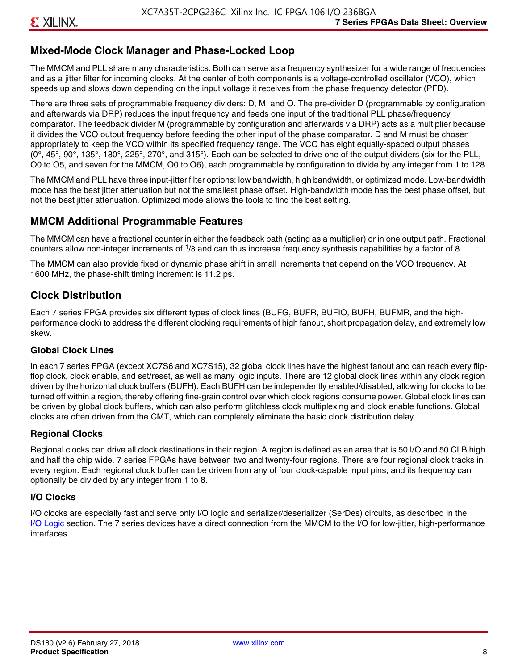### **Mixed-Mode Clock Manager and Phase-Locked Loop**

The MMCM and PLL share many characteristics. Both can serve as a frequency synthesizer for a wide range of frequencies and as a jitter filter for incoming clocks. At the center of both components is a voltage-controlled oscillator (VCO), which speeds up and slows down depending on the input voltage it receives from the phase frequency detector (PFD).

There are three sets of programmable frequency dividers: D, M, and O. The pre-divider D (programmable by configuration and afterwards via DRP) reduces the input frequency and feeds one input of the traditional PLL phase/frequency comparator. The feedback divider M (programmable by configuration and afterwards via DRP) acts as a multiplier because it divides the VCO output frequency before feeding the other input of the phase comparator. D and M must be chosen appropriately to keep the VCO within its specified frequency range. The VCO has eight equally-spaced output phases  $(0^\circ, 45^\circ, 90^\circ, 135^\circ, 180^\circ, 225^\circ, 270^\circ,$  and  $315^\circ$ ). Each can be selected to drive one of the output dividers (six for the PLL, O0 to O5, and seven for the MMCM, O0 to O6), each programmable by configuration to divide by any integer from 1 to 128.

The MMCM and PLL have three input-jitter filter options: low bandwidth, high bandwidth, or optimized mode. Low-bandwidth mode has the best jitter attenuation but not the smallest phase offset. High-bandwidth mode has the best phase offset, but not the best jitter attenuation. Optimized mode allows the tools to find the best setting.

### **MMCM Additional Programmable Features**

The MMCM can have a fractional counter in either the feedback path (acting as a multiplier) or in one output path. Fractional counters allow non-integer increments of  $1/8$  and can thus increase frequency synthesis capabilities by a factor of 8.

The MMCM can also provide fixed or dynamic phase shift in small increments that depend on the VCO frequency. At 1600 MHz, the phase-shift timing increment is 11.2 ps.

### **Clock Distribution**

Each 7 series FPGA provides six different types of clock lines (BUFG, BUFR, BUFIO, BUFH, BUFMR, and the highperformance clock) to address the different clocking requirements of high fanout, short propagation delay, and extremely low skew.

#### **Global Clock Lines**

In each 7 series FPGA (except XC7S6 and XC7S15), 32 global clock lines have the highest fanout and can reach every flipflop clock, clock enable, and set/reset, as well as many logic inputs. There are 12 global clock lines within any clock region driven by the horizontal clock buffers (BUFH). Each BUFH can be independently enabled/disabled, allowing for clocks to be turned off within a region, thereby offering fine-grain control over which clock regions consume power. Global clock lines can be driven by global clock buffers, which can also perform glitchless clock multiplexing and clock enable functions. Global clocks are often driven from the CMT, which can completely eliminate the basic clock distribution delay.

#### **Regional Clocks**

Regional clocks can drive all clock destinations in their region. A region is defined as an area that is 50 I/O and 50 CLB high and half the chip wide. 7 series FPGAs have between two and twenty-four regions. There are four regional clock tracks in every region. Each regional clock buffer can be driven from any of four clock-capable input pins, and its frequency can optionally be divided by any integer from 1 to 8.

#### **I/O Clocks**

I/O clocks are especially fast and serve only I/O logic and serializer/deserializer (SerDes) circuits, as described in the I/O Logic section. The 7 series devices have a direct connection from the MMCM to the I/O for low-jitter, high-performance interfaces.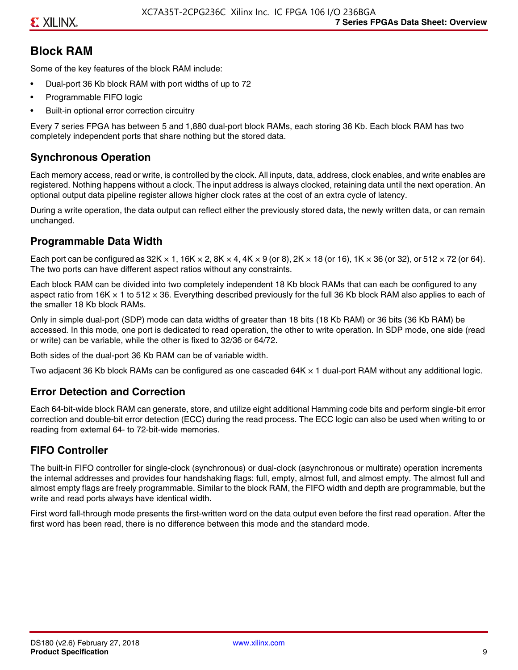### **Block RAM**

Some of the key features of the block RAM include:

- Dual-port 36 Kb block RAM with port widths of up to 72
- Programmable FIFO logic
- Built-in optional error correction circuitry

Every 7 series FPGA has between 5 and 1,880 dual-port block RAMs, each storing 36 Kb. Each block RAM has two completely independent ports that share nothing but the stored data.

#### **Synchronous Operation**

Each memory access, read or write, is controlled by the clock. All inputs, data, address, clock enables, and write enables are registered. Nothing happens without a clock. The input address is always clocked, retaining data until the next operation. An optional output data pipeline register allows higher clock rates at the cost of an extra cycle of latency.

During a write operation, the data output can reflect either the previously stored data, the newly written data, or can remain unchanged.

#### **Programmable Data Width**

Each port can be configured as 32K  $\times$  1, 16K  $\times$  2, 8K  $\times$  4, 4K  $\times$  9 (or 8), 2K  $\times$  18 (or 16), 1K  $\times$  36 (or 32), or 512  $\times$  72 (or 64). The two ports can have different aspect ratios without any constraints.

Each block RAM can be divided into two completely independent 18 Kb block RAMs that can each be configured to any aspect ratio from 16K  $\times$  1 to 512  $\times$  36. Everything described previously for the full 36 Kb block RAM also applies to each of the smaller 18 Kb block RAMs.

Only in simple dual-port (SDP) mode can data widths of greater than 18 bits (18 Kb RAM) or 36 bits (36 Kb RAM) be accessed. In this mode, one port is dedicated to read operation, the other to write operation. In SDP mode, one side (read or write) can be variable, while the other is fixed to 32/36 or 64/72.

Both sides of the dual-port 36 Kb RAM can be of variable width.

Two adjacent 36 Kb block RAMs can be configured as one cascaded 64K × 1 dual-port RAM without any additional logic.

#### **Error Detection and Correction**

Each 64-bit-wide block RAM can generate, store, and utilize eight additional Hamming code bits and perform single-bit error correction and double-bit error detection (ECC) during the read process. The ECC logic can also be used when writing to or reading from external 64- to 72-bit-wide memories.

#### **FIFO Controller**

The built-in FIFO controller for single-clock (synchronous) or dual-clock (asynchronous or multirate) operation increments the internal addresses and provides four handshaking flags: full, empty, almost full, and almost empty. The almost full and almost empty flags are freely programmable. Similar to the block RAM, the FIFO width and depth are programmable, but the write and read ports always have identical width.

First word fall-through mode presents the first-written word on the data output even before the first read operation. After the first word has been read, there is no difference between this mode and the standard mode.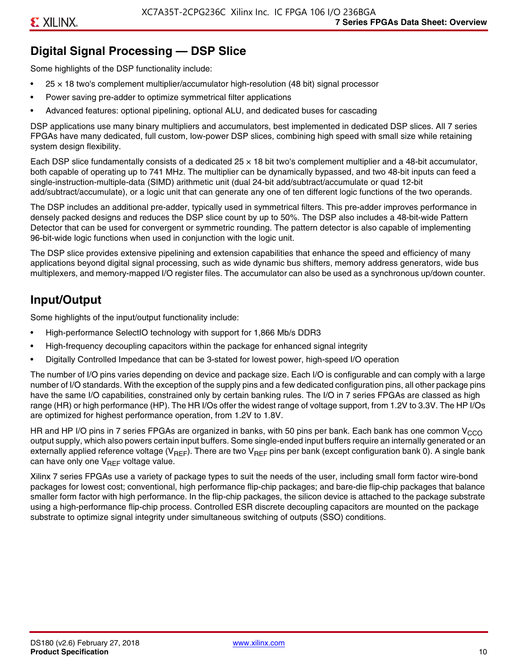### **Digital Signal Processing — DSP Slice**

Some highlights of the DSP functionality include:

- $25 \times 18$  two's complement multiplier/accumulator high-resolution (48 bit) signal processor
- Power saving pre-adder to optimize symmetrical filter applications
- Advanced features: optional pipelining, optional ALU, and dedicated buses for cascading

DSP applications use many binary multipliers and accumulators, best implemented in dedicated DSP slices. All 7 series FPGAs have many dedicated, full custom, low-power DSP slices, combining high speed with small size while retaining system design flexibility.

Each DSP slice fundamentally consists of a dedicated 25 × 18 bit two's complement multiplier and a 48-bit accumulator, both capable of operating up to 741 MHz. The multiplier can be dynamically bypassed, and two 48-bit inputs can feed a single-instruction-multiple-data (SIMD) arithmetic unit (dual 24-bit add/subtract/accumulate or quad 12-bit add/subtract/accumulate), or a logic unit that can generate any one of ten different logic functions of the two operands.

The DSP includes an additional pre-adder, typically used in symmetrical filters. This pre-adder improves performance in densely packed designs and reduces the DSP slice count by up to 50%. The DSP also includes a 48-bit-wide Pattern Detector that can be used for convergent or symmetric rounding. The pattern detector is also capable of implementing 96-bit-wide logic functions when used in conjunction with the logic unit.

The DSP slice provides extensive pipelining and extension capabilities that enhance the speed and efficiency of many applications beyond digital signal processing, such as wide dynamic bus shifters, memory address generators, wide bus multiplexers, and memory-mapped I/O register files. The accumulator can also be used as a synchronous up/down counter.

### **Input/Output**

Some highlights of the input/output functionality include:

- High-performance SelectIO technology with support for 1,866 Mb/s DDR3
- High-frequency decoupling capacitors within the package for enhanced signal integrity
- Digitally Controlled Impedance that can be 3-stated for lowest power, high-speed I/O operation

The number of I/O pins varies depending on device and package size. Each I/O is configurable and can comply with a large number of I/O standards. With the exception of the supply pins and a few dedicated configuration pins, all other package pins have the same I/O capabilities, constrained only by certain banking rules. The I/O in 7 series FPGAs are classed as high range (HR) or high performance (HP). The HR I/Os offer the widest range of voltage support, from 1.2V to 3.3V. The HP I/Os are optimized for highest performance operation, from 1.2V to 1.8V.

HR and HP I/O pins in 7 series FPGAs are organized in banks, with 50 pins per bank. Each bank has one common V<sub>CCO</sub> output supply, which also powers certain input buffers. Some single-ended input buffers require an internally generated or an externally applied reference voltage ( $V_{RFF}$ ). There are two  $V_{RFF}$  pins per bank (except configuration bank 0). A single bank can have only one  $V_{\text{RFF}}$  voltage value.

Xilinx 7 series FPGAs use a variety of package types to suit the needs of the user, including small form factor wire-bond packages for lowest cost; conventional, high performance flip-chip packages; and bare-die flip-chip packages that balance smaller form factor with high performance. In the flip-chip packages, the silicon device is attached to the package substrate using a high-performance flip-chip process. Controlled ESR discrete decoupling capacitors are mounted on the package substrate to optimize signal integrity under simultaneous switching of outputs (SSO) conditions.

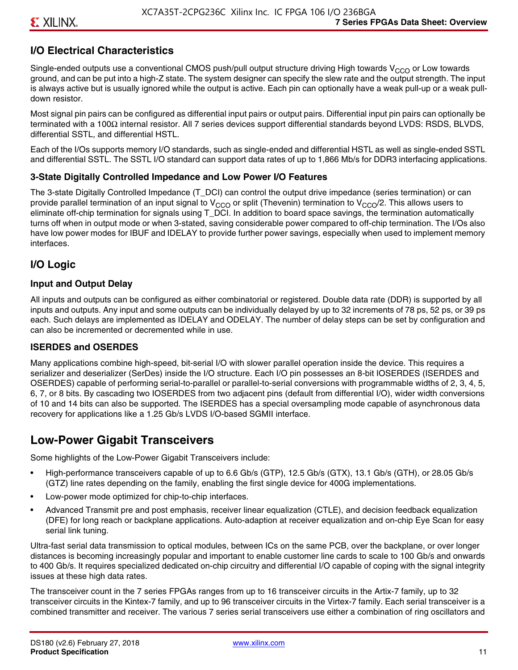### **I/O Electrical Characteristics**

Single-ended outputs use a conventional CMOS push/pull output structure driving High towards  $V_{CCO}$  or Low towards ground, and can be put into a high-Z state. The system designer can specify the slew rate and the output strength. The input is always active but is usually ignored while the output is active. Each pin can optionally have a weak pull-up or a weak pulldown resistor.

Most signal pin pairs can be configured as differential input pairs or output pairs. Differential input pin pairs can optionally be terminated with a 100Ω internal resistor. All 7 series devices support differential standards beyond LVDS: RSDS, BLVDS, differential SSTL, and differential HSTL.

Each of the I/Os supports memory I/O standards, such as single-ended and differential HSTL as well as single-ended SSTL and differential SSTL. The SSTL I/O standard can support data rates of up to 1,866 Mb/s for DDR3 interfacing applications.

#### **3-State Digitally Controlled Impedance and Low Power I/O Features**

The 3-state Digitally Controlled Impedance (T\_DCI) can control the output drive impedance (series termination) or can provide parallel termination of an input signal to V<sub>CCO</sub> or split (Thevenin) termination to V<sub>CCO</sub>/2. This allows users to eliminate off-chip termination for signals using T\_DCI. In addition to board space savings, the termination automatically turns off when in output mode or when 3-stated, saving considerable power compared to off-chip termination. The I/Os also have low power modes for IBUF and IDELAY to provide further power savings, especially when used to implement memory interfaces.

#### **I/O Logic**

#### **Input and Output Delay**

All inputs and outputs can be configured as either combinatorial or registered. Double data rate (DDR) is supported by all inputs and outputs. Any input and some outputs can be individually delayed by up to 32 increments of 78 ps, 52 ps, or 39 ps each. Such delays are implemented as IDELAY and ODELAY. The number of delay steps can be set by configuration and can also be incremented or decremented while in use.

#### **ISERDES and OSERDES**

Many applications combine high-speed, bit-serial I/O with slower parallel operation inside the device. This requires a serializer and deserializer (SerDes) inside the I/O structure. Each I/O pin possesses an 8-bit IOSERDES (ISERDES and OSERDES) capable of performing serial-to-parallel or parallel-to-serial conversions with programmable widths of 2, 3, 4, 5, 6, 7, or 8 bits. By cascading two IOSERDES from two adjacent pins (default from differential I/O), wider width conversions of 10 and 14 bits can also be supported. The ISERDES has a special oversampling mode capable of asynchronous data recovery for applications like a 1.25 Gb/s LVDS I/O-based SGMII interface.

### **Low-Power Gigabit Transceivers**

Some highlights of the Low-Power Gigabit Transceivers include:

- High-performance transceivers capable of up to 6.6 Gb/s (GTP), 12.5 Gb/s (GTX), 13.1 Gb/s (GTH), or 28.05 Gb/s (GTZ) line rates depending on the family, enabling the first single device for 400G implementations.
- Low-power mode optimized for chip-to-chip interfaces.
- Advanced Transmit pre and post emphasis, receiver linear equalization (CTLE), and decision feedback equalization (DFE) for long reach or backplane applications. Auto-adaption at receiver equalization and on-chip Eye Scan for easy serial link tuning.

Ultra-fast serial data transmission to optical modules, between ICs on the same PCB, over the backplane, or over longer distances is becoming increasingly popular and important to enable customer line cards to scale to 100 Gb/s and onwards to 400 Gb/s. It requires specialized dedicated on-chip circuitry and differential I/O capable of coping with the signal integrity issues at these high data rates.

The transceiver count in the 7 series FPGAs ranges from up to 16 transceiver circuits in the Artix-7 family, up to 32 transceiver circuits in the Kintex-7 family, and up to 96 transceiver circuits in the Virtex-7 family. Each serial transceiver is a combined transmitter and receiver. The various 7 series serial transceivers use either a combination of ring oscillators and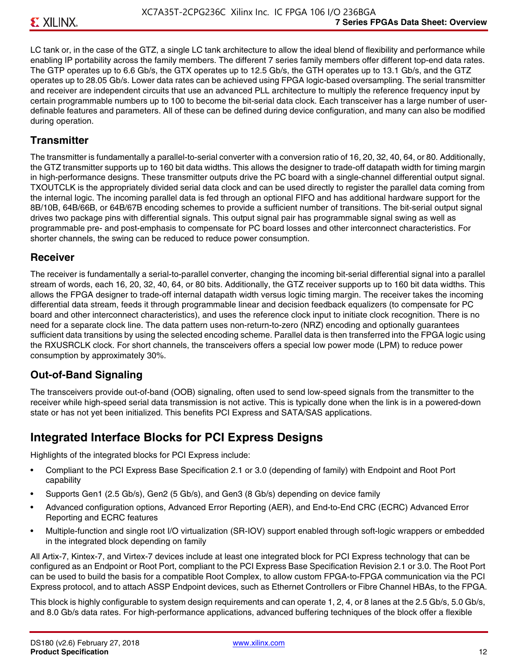LC tank or, in the case of the GTZ, a single LC tank architecture to allow the ideal blend of flexibility and performance while enabling IP portability across the family members. The different 7 series family members offer different top-end data rates. The GTP operates up to 6.6 Gb/s, the GTX operates up to 12.5 Gb/s, the GTH operates up to 13.1 Gb/s, and the GTZ operates up to 28.05 Gb/s. Lower data rates can be achieved using FPGA logic-based oversampling. The serial transmitter and receiver are independent circuits that use an advanced PLL architecture to multiply the reference frequency input by certain programmable numbers up to 100 to become the bit-serial data clock. Each transceiver has a large number of userdefinable features and parameters. All of these can be defined during device configuration, and many can also be modified during operation.

#### **Transmitter**

The transmitter is fundamentally a parallel-to-serial converter with a conversion ratio of 16, 20, 32, 40, 64, or 80. Additionally, the GTZ transmitter supports up to 160 bit data widths. This allows the designer to trade-off datapath width for timing margin in high-performance designs. These transmitter outputs drive the PC board with a single-channel differential output signal. TXOUTCLK is the appropriately divided serial data clock and can be used directly to register the parallel data coming from the internal logic. The incoming parallel data is fed through an optional FIFO and has additional hardware support for the 8B/10B, 64B/66B, or 64B/67B encoding schemes to provide a sufficient number of transitions. The bit-serial output signal drives two package pins with differential signals. This output signal pair has programmable signal swing as well as programmable pre- and post-emphasis to compensate for PC board losses and other interconnect characteristics. For shorter channels, the swing can be reduced to reduce power consumption.

#### **Receiver**

The receiver is fundamentally a serial-to-parallel converter, changing the incoming bit-serial differential signal into a parallel stream of words, each 16, 20, 32, 40, 64, or 80 bits. Additionally, the GTZ receiver supports up to 160 bit data widths. This allows the FPGA designer to trade-off internal datapath width versus logic timing margin. The receiver takes the incoming differential data stream, feeds it through programmable linear and decision feedback equalizers (to compensate for PC board and other interconnect characteristics), and uses the reference clock input to initiate clock recognition. There is no need for a separate clock line. The data pattern uses non-return-to-zero (NRZ) encoding and optionally guarantees sufficient data transitions by using the selected encoding scheme. Parallel data is then transferred into the FPGA logic using the RXUSRCLK clock. For short channels, the transceivers offers a special low power mode (LPM) to reduce power consumption by approximately 30%.

#### **Out-of-Band Signaling**

The transceivers provide out-of-band (OOB) signaling, often used to send low-speed signals from the transmitter to the receiver while high-speed serial data transmission is not active. This is typically done when the link is in a powered-down state or has not yet been initialized. This benefits PCI Express and SATA/SAS applications.

### **Integrated Interface Blocks for PCI Express Designs**

Highlights of the integrated blocks for PCI Express include:

- Compliant to the PCI Express Base Specification 2.1 or 3.0 (depending of family) with Endpoint and Root Port capability
- Supports Gen1 (2.5 Gb/s), Gen2 (5 Gb/s), and Gen3 (8 Gb/s) depending on device family
- Advanced configuration options, Advanced Error Reporting (AER), and End-to-End CRC (ECRC) Advanced Error Reporting and ECRC features
- Multiple-function and single root I/O virtualization (SR-IOV) support enabled through soft-logic wrappers or embedded in the integrated block depending on family

All Artix-7, Kintex-7, and Virtex-7 devices include at least one integrated block for PCI Express technology that can be configured as an Endpoint or Root Port, compliant to the PCI Express Base Specification Revision 2.1 or 3.0. The Root Port can be used to build the basis for a compatible Root Complex, to allow custom FPGA-to-FPGA communication via the PCI Express protocol, and to attach ASSP Endpoint devices, such as Ethernet Controllers or Fibre Channel HBAs, to the FPGA.

This block is highly configurable to system design requirements and can operate 1, 2, 4, or 8 lanes at the 2.5 Gb/s, 5.0 Gb/s, and 8.0 Gb/s data rates. For high-performance applications, advanced buffering techniques of the block offer a flexible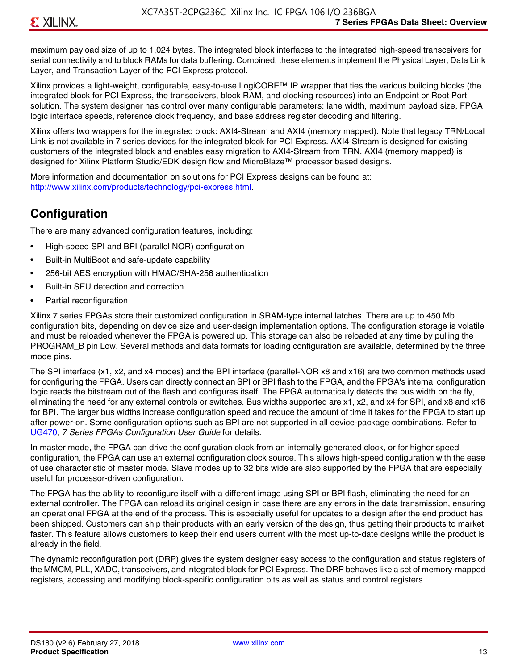maximum payload size of up to 1,024 bytes. The integrated block interfaces to the integrated high-speed transceivers for serial connectivity and to block RAMs for data buffering. Combined, these elements implement the Physical Layer, Data Link Layer, and Transaction Layer of the PCI Express protocol.

Xilinx provides a light-weight, configurable, easy-to-use LogiCORE™ IP wrapper that ties the various building blocks (the integrated block for PCI Express, the transceivers, block RAM, and clocking resources) into an Endpoint or Root Port solution. The system designer has control over many configurable parameters: lane width, maximum payload size, FPGA logic interface speeds, reference clock frequency, and base address register decoding and filtering.

Xilinx offers two wrappers for the integrated block: AXI4-Stream and AXI4 (memory mapped). Note that legacy TRN/Local Link is not available in 7 series devices for the integrated block for PCI Express. AXI4-Stream is designed for existing customers of the integrated block and enables easy migration to AXI4-Stream from TRN. AXI4 (memory mapped) is designed for Xilinx Platform Studio/EDK design flow and MicroBlaze™ processor based designs.

More information and documentation on solutions for PCI Express designs can be found at: <http://www.xilinx.com/products/technology/pci-express.html>.

### **Configuration**

There are many advanced configuration features, including:

- High-speed SPI and BPI (parallel NOR) configuration
- Built-in MultiBoot and safe-update capability
- 256-bit AES encryption with HMAC/SHA-256 authentication
- Built-in SEU detection and correction
- Partial reconfiguration

Xilinx 7 series FPGAs store their customized configuration in SRAM-type internal latches. There are up to 450 Mb configuration bits, depending on device size and user-design implementation options. The configuration storage is volatile and must be reloaded whenever the FPGA is powered up. This storage can also be reloaded at any time by pulling the PROGRAM B pin Low. Several methods and data formats for loading configuration are available, determined by the three mode pins.

The SPI interface (x1, x2, and x4 modes) and the BPI interface (parallel-NOR x8 and x16) are two common methods used for configuring the FPGA. Users can directly connect an SPI or BPI flash to the FPGA, and the FPGA's internal configuration logic reads the bitstream out of the flash and configures itself. The FPGA automatically detects the bus width on the fly, eliminating the need for any external controls or switches. Bus widths supported are x1, x2, and x4 for SPI, and x8 and x16 for BPI. The larger bus widths increase configuration speed and reduce the amount of time it takes for the FPGA to start up after power-on. Some configuration options such as BPI are not supported in all device-package combinations. Refer to [UG470,](http://www.xilinx.com/support/documentation/user_guides/ug470_7Series_Config.pdf) *7 Series FPGAs Configuration User Guide* for details.

In master mode, the FPGA can drive the configuration clock from an internally generated clock, or for higher speed configuration, the FPGA can use an external configuration clock source. This allows high-speed configuration with the ease of use characteristic of master mode. Slave modes up to 32 bits wide are also supported by the FPGA that are especially useful for processor-driven configuration.

The FPGA has the ability to reconfigure itself with a different image using SPI or BPI flash, eliminating the need for an external controller. The FPGA can reload its original design in case there are any errors in the data transmission, ensuring an operational FPGA at the end of the process. This is especially useful for updates to a design after the end product has been shipped. Customers can ship their products with an early version of the design, thus getting their products to market faster. This feature allows customers to keep their end users current with the most up-to-date designs while the product is already in the field.

The dynamic reconfiguration port (DRP) gives the system designer easy access to the configuration and status registers of the MMCM, PLL, XADC, transceivers, and integrated block for PCI Express. The DRP behaves like a set of memory-mapped registers, accessing and modifying block-specific configuration bits as well as status and control registers.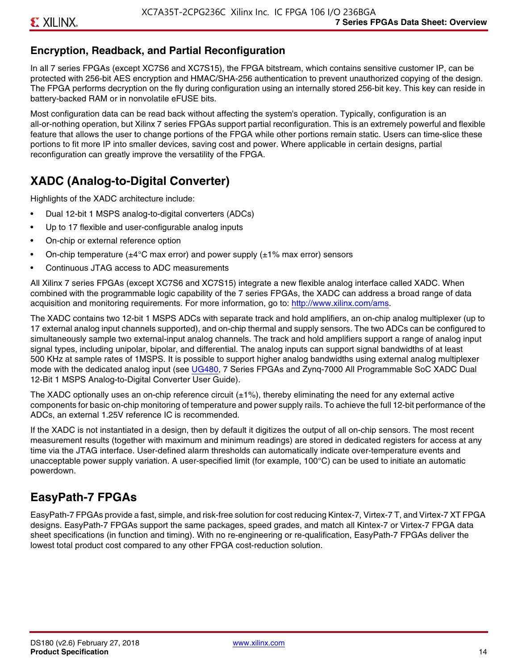### **Encryption, Readback, and Partial Reconfiguration**

In all 7 series FPGAs (except XC7S6 and XC7S15), the FPGA bitstream, which contains sensitive customer IP, can be protected with 256-bit AES encryption and HMAC/SHA-256 authentication to prevent unauthorized copying of the design. The FPGA performs decryption on the fly during configuration using an internally stored 256-bit key. This key can reside in battery-backed RAM or in nonvolatile eFUSE bits.

Most configuration data can be read back without affecting the system's operation. Typically, configuration is an all-or-nothing operation, but Xilinx 7 series FPGAs support partial reconfiguration. This is an extremely powerful and flexible feature that allows the user to change portions of the FPGA while other portions remain static. Users can time-slice these portions to fit more IP into smaller devices, saving cost and power. Where applicable in certain designs, partial reconfiguration can greatly improve the versatility of the FPGA.

### **XADC (Analog-to-Digital Converter)**

Highlights of the XADC architecture include:

- Dual 12-bit 1 MSPS analog-to-digital converters (ADCs)
- Up to 17 flexible and user-configurable analog inputs
- On-chip or external reference option
- On-chip temperature ( $\pm 4^{\circ}$ C max error) and power supply ( $\pm 1\%$  max error) sensors
- Continuous JTAG access to ADC measurements

All Xilinx 7 series FPGAs (except XC7S6 and XC7S15) integrate a new flexible analog interface called XADC. When combined with the programmable logic capability of the 7 series FPGAs, the XADC can address a broad range of data acquisition and monitoring requirements. For more information, go to: [http://www.xilinx.com/ams.](http://www.xilinx.com/ams)

The XADC contains two 12-bit 1 MSPS ADCs with separate track and hold amplifiers, an on-chip analog multiplexer (up to 17 external analog input channels supported), and on-chip thermal and supply sensors. The two ADCs can be configured to simultaneously sample two external-input analog channels. The track and hold amplifiers support a range of analog input signal types, including unipolar, bipolar, and differential. The analog inputs can support signal bandwidths of at least 500 KHz at sample rates of 1MSPS. It is possible to support higher analog bandwidths using external analog multiplexer mode with the dedicated analog input (see [UG480](http://www.xilinx.com/support/documentation/user_guides/ug480_7Series_XADC.pdf), 7 Series FPGAs and Zynq-7000 All Programmable SoC XADC Dual 12-Bit 1 MSPS Analog-to-Digital Converter User Guide)*.*

The XADC optionally uses an on-chip reference circuit  $(\pm 1\%)$ , thereby eliminating the need for any external active components for basic on-chip monitoring of temperature and power supply rails. To achieve the full 12-bit performance of the ADCs, an external 1.25V reference IC is recommended.

If the XADC is not instantiated in a design, then by default it digitizes the output of all on-chip sensors. The most recent measurement results (together with maximum and minimum readings) are stored in dedicated registers for access at any time via the JTAG interface. User-defined alarm thresholds can automatically indicate over-temperature events and unacceptable power supply variation. A user-specified limit (for example, 100°C) can be used to initiate an automatic powerdown.

### **EasyPath-7 FPGAs**

EasyPath-7 FPGAs provide a fast, simple, and risk-free solution for cost reducing Kintex-7, Virtex-7 T, and Virtex-7 XT FPGA designs. EasyPath-7 FPGAs support the same packages, speed grades, and match all Kintex-7 or Virtex-7 FPGA data sheet specifications (in function and timing). With no re-engineering or re-qualification, EasyPath-7 FPGAs deliver the lowest total product cost compared to any other FPGA cost-reduction solution.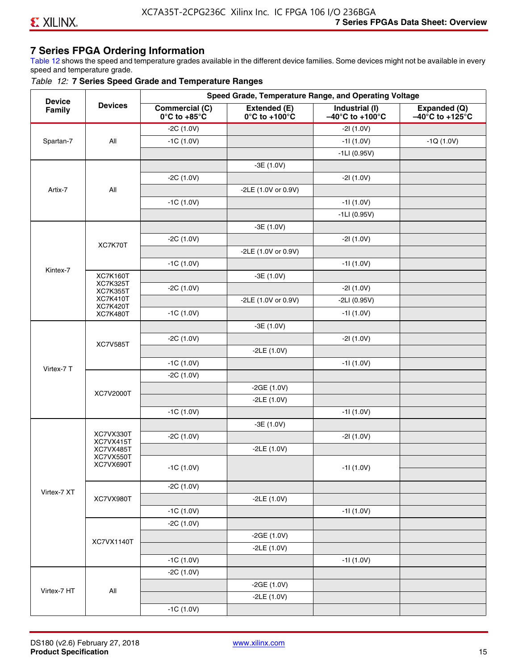### **7 Series FPGA Ordering Information**

Table 12 shows the speed and temperature grades available in the different device families. Some devices might not be available in every speed and temperature grade.

#### *Table 12:* **7 Series Speed Grade and Temperature Ranges**

| <b>Device</b> |                                    |                                                        |                                                    | Speed Grade, Temperature Range, and Operating Voltage  |                                                      |
|---------------|------------------------------------|--------------------------------------------------------|----------------------------------------------------|--------------------------------------------------------|------------------------------------------------------|
| Family        | <b>Devices</b>                     | <b>Commercial (C)</b><br>$0^\circ$ C to +85 $^\circ$ C | Extended (E)<br>$0^{\circ}$ C to +100 $^{\circ}$ C | Industrial (I)<br>$-40^{\circ}$ C to +100 $^{\circ}$ C | Expanded (Q)<br>$-40^{\circ}$ C to +125 $^{\circ}$ C |
|               |                                    | $-2C(1.0V)$                                            |                                                    | $-21(1.0V)$                                            |                                                      |
| Spartan-7     | All                                | $-1C(1.0V)$                                            |                                                    | $-11(1.0V)$                                            | $-1Q(1.0V)$                                          |
|               |                                    |                                                        |                                                    | $-1LI(0.95V)$                                          |                                                      |
|               |                                    |                                                        | $-3E(1.0V)$                                        |                                                        |                                                      |
|               |                                    | $-2C(1.0V)$                                            |                                                    | $-21(1.0V)$                                            |                                                      |
| Artix-7       | All                                |                                                        | -2LE (1.0V or 0.9V)                                |                                                        |                                                      |
|               |                                    | $-1C(1.0V)$                                            |                                                    | $-11(1.0V)$                                            |                                                      |
|               |                                    |                                                        |                                                    | $-1LI(0.95V)$                                          |                                                      |
|               |                                    |                                                        | $-3E(1.0V)$                                        |                                                        |                                                      |
|               | XC7K70T                            | $-2C(1.0V)$                                            |                                                    | $-21(1.0V)$                                            |                                                      |
|               |                                    |                                                        | -2LE (1.0V or 0.9V)                                |                                                        |                                                      |
|               |                                    | $-1C(1.0V)$                                            |                                                    | $-11(1.0V)$                                            |                                                      |
| Kintex-7      | <b>XC7K160T</b>                    |                                                        | $-3E(1.0V)$                                        |                                                        |                                                      |
|               | <b>XC7K325T</b><br><b>XC7K355T</b> | $-2C(1.0V)$                                            |                                                    | $-21(1.0V)$                                            |                                                      |
|               | <b>XC7K410T</b>                    |                                                        | -2LE (1.0V or 0.9V)                                | $-2LI(0.95V)$                                          |                                                      |
|               | <b>XC7K420T</b><br><b>XC7K480T</b> | $-1C(1.0V)$                                            |                                                    | $-11(1.0V)$                                            |                                                      |
|               |                                    |                                                        | $-3E(1.0V)$                                        |                                                        |                                                      |
|               |                                    | $-2C(1.0V)$                                            |                                                    | $-21(1.0V)$                                            |                                                      |
|               | <b>XC7V585T</b>                    |                                                        | $-2LE(1.0V)$                                       |                                                        |                                                      |
|               |                                    | $-1C(1.0V)$                                            |                                                    | $-11(1.0V)$                                            |                                                      |
| Virtex-7 T    |                                    | $-2C(1.0V)$                                            |                                                    |                                                        |                                                      |
|               |                                    |                                                        | $-2GE(1.0V)$                                       |                                                        |                                                      |
|               | XC7V2000T                          |                                                        | $-2LE(1.0V)$                                       |                                                        |                                                      |
|               |                                    | $-1C(1.0V)$                                            |                                                    | $-11(1.0V)$                                            |                                                      |
|               |                                    |                                                        | $-3E(1.0V)$                                        |                                                        |                                                      |
|               | XC7VX330T                          | $-2C(1.0V)$                                            |                                                    | $-21(1.0V)$                                            |                                                      |
|               | XC7VX415T<br>XC7VX485T             |                                                        | $-2LE(1.0V)$                                       |                                                        |                                                      |
|               | XC7VX550T<br>XC7VX690T             |                                                        |                                                    |                                                        |                                                      |
|               |                                    | $-1C(1.0V)$                                            |                                                    | $-11(1.0V)$                                            |                                                      |
|               |                                    | $-2C(1.0V)$                                            |                                                    |                                                        |                                                      |
| Virtex-7 XT   | XC7VX980T                          |                                                        | $-2LE(1.0V)$                                       |                                                        |                                                      |
|               |                                    | $-1C(1.0V)$                                            |                                                    | $-11(1.0V)$                                            |                                                      |
|               |                                    | $-2C(1.0V)$                                            |                                                    |                                                        |                                                      |
|               |                                    |                                                        | $-2GE(1.0V)$                                       |                                                        |                                                      |
|               | XC7VX1140T                         |                                                        | $-2LE(1.0V)$                                       |                                                        |                                                      |
|               |                                    | $-1C(1.0V)$                                            |                                                    | $-11(1.0V)$                                            |                                                      |
|               |                                    | $-2C(1.0V)$                                            |                                                    |                                                        |                                                      |
|               |                                    |                                                        | $-2GE(1.0V)$                                       |                                                        |                                                      |
| Virtex-7 HT   | All                                |                                                        | $-2LE(1.0V)$                                       |                                                        |                                                      |
|               |                                    | $-1C(1.0V)$                                            |                                                    |                                                        |                                                      |
|               |                                    |                                                        |                                                    |                                                        |                                                      |

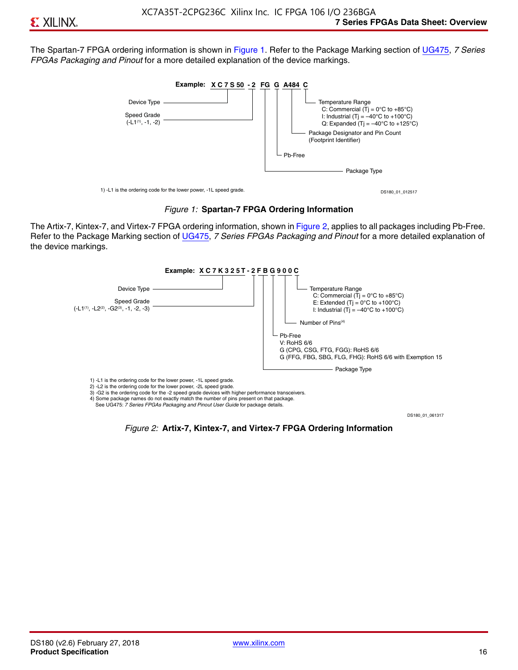The Spartan-7 FPGA ordering information is shown in Figure 1. Refer to the Package Marking section of [UG475,](http://www.xilinx.com/support/documentation/user_guides/ug475_7Series_Pkg_Pinout.pdf) *7 Series FPGAs Packaging and Pinout* for a more detailed explanation of the device markings.





The Artix-7, Kintex-7, and Virtex-7 FPGA ordering information, shown in Figure 2, applies to all packages including Pb-Free. Refer to the Package Marking section of [UG475](http://www.xilinx.com/support/documentation/user_guides/ug475_7Series_Pkg_Pinout.pdf), *7 Series FPGAs Packaging and Pinout* for a more detailed explanation of the device markings.



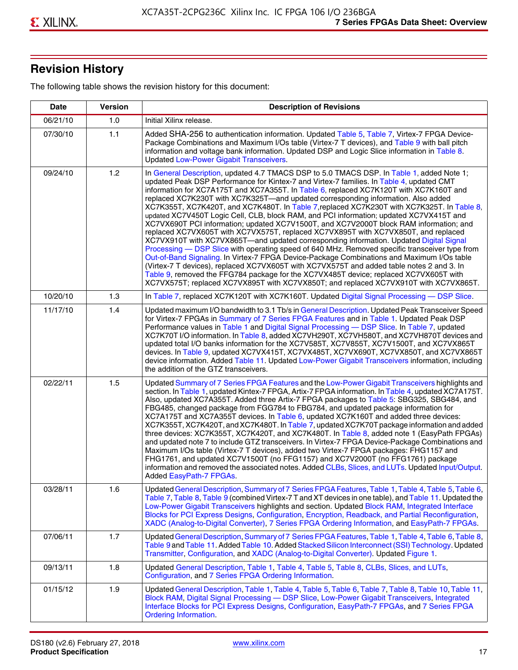## **Revision History**

The following table shows the revision history for this document:

| <b>Date</b> | <b>Version</b> | <b>Description of Revisions</b>                                                                                                                                                                                                                                                                                                                                                                                                                                                                                                                                                                                                                                                                                                                                                                                                                                                                                                                                                                                                                                                                                                                                                                                                                                                                                       |
|-------------|----------------|-----------------------------------------------------------------------------------------------------------------------------------------------------------------------------------------------------------------------------------------------------------------------------------------------------------------------------------------------------------------------------------------------------------------------------------------------------------------------------------------------------------------------------------------------------------------------------------------------------------------------------------------------------------------------------------------------------------------------------------------------------------------------------------------------------------------------------------------------------------------------------------------------------------------------------------------------------------------------------------------------------------------------------------------------------------------------------------------------------------------------------------------------------------------------------------------------------------------------------------------------------------------------------------------------------------------------|
| 06/21/10    | 1.0            | Initial Xilinx release.                                                                                                                                                                                                                                                                                                                                                                                                                                                                                                                                                                                                                                                                                                                                                                                                                                                                                                                                                                                                                                                                                                                                                                                                                                                                                               |
| 07/30/10    | 1.1            | Added SHA-256 to authentication information. Updated Table 5, Table 7, Virtex-7 FPGA Device-<br>Package Combinations and Maximum I/Os table (Virtex-7 T devices), and Table 9 with ball pitch<br>information and voltage bank information. Updated DSP and Logic Slice information in Table 8.<br><b>Updated Low-Power Gigabit Transceivers.</b>                                                                                                                                                                                                                                                                                                                                                                                                                                                                                                                                                                                                                                                                                                                                                                                                                                                                                                                                                                      |
| 09/24/10    | 1.2            | In General Description, updated 4.7 TMACS DSP to 5.0 TMACS DSP. In Table 1, added Note 1;<br>updated Peak DSP Performance for Kintex-7 and Virtex-7 families. In Table 4, updated CMT<br>information for XC7A175T and XC7A355T. In Table 6, replaced XC7K120T with XC7K160T and<br>replaced XC7K230T with XC7K325T-and updated corresponding information. Also added<br>XC7K355T, XC7K420T, and XC7K480T. In Table 7, replaced XC7K230T with XC7K325T. In Table 8,<br>updated XC7V450T Logic Cell, CLB, block RAM, and PCI information; updated XC7VX415T and<br>XC7VX690T PCI information; updated XC7V1500T, and XC7V2000T block RAM information; and<br>replaced XC7VX605T with XC7VX575T, replaced XC7VX895T with XC7VX850T, and replaced<br>XC7VX910T with XC7VX865T-and updated corresponding information. Updated Digital Signal<br>Processing - DSP Slice with operating speed of 640 MHz. Removed specific transceiver type from<br>Out-of-Band Signaling. In Virtex-7 FPGA Device-Package Combinations and Maximum I/Os table<br>(Virtex-7 T devices), replaced XC7VX605T with XC7VX575T and added table notes 2 and 3. In<br>Table 9, removed the FFG784 package for the XC7VX485T device; replaced XC7VX605T with<br>XC7VX575T; replaced XC7VX895T with XC7VX850T; and replaced XC7VX910T with XC7VX865T. |
| 10/20/10    | 1.3            | In Table 7, replaced XC7K120T with XC7K160T. Updated Digital Signal Processing - DSP Slice.                                                                                                                                                                                                                                                                                                                                                                                                                                                                                                                                                                                                                                                                                                                                                                                                                                                                                                                                                                                                                                                                                                                                                                                                                           |
| 11/17/10    | 1.4            | Updated maximum I/O bandwidth to 3.1 Tb/s in General Description. Updated Peak Transceiver Speed<br>for Virtex-7 FPGAs in Summary of 7 Series FPGA Features and in Table 1. Updated Peak DSP<br>Performance values in Table 1 and Digital Signal Processing - DSP Slice. In Table 7, updated<br>XC7K70T I/O information. In Table 8, added XC7VH290T, XC7VH580T, and XC7VH870T devices and<br>updated total I/O banks information for the XC7V585T, XC7V855T, XC7V1500T, and XC7VX865T<br>devices. In Table 9, updated XC7VX415T, XC7VX485T, XC7VX690T, XC7VX850T, and XC7VX865T<br>device information. Added Table 11. Updated Low-Power Gigabit Transceivers information, including<br>the addition of the GTZ transceivers.                                                                                                                                                                                                                                                                                                                                                                                                                                                                                                                                                                                        |
| 02/22/11    | 1.5            | Updated Summary of 7 Series FPGA Features and the Low-Power Gigabit Transceivers highlights and<br>section. In Table 1, updated Kintex-7 FPGA, Artix-7 FPGA information. In Table 4, updated XC7A175T.<br>Also, updated XC7A355T. Added three Artix-7 FPGA packages to Table 5: SBG325, SBG484, and<br>FBG485, changed package from FGG784 to FBG784, and updated package information for<br>XC7A175T and XC7A355T devices. In Table 6, updated XC7K160T and added three devices:<br>XC7K355T, XC7K420T, and XC7K480T. In Table 7, updated XC7K70T package information and added<br>three devices: XC7K355T, XC7K420T, and XC7K480T. In Table 8, added note 1 (EasyPath FPGAs)<br>and updated note 7 to include GTZ transceivers. In Virtex-7 FPGA Device-Package Combinations and<br>Maximum I/Os table (Virtex-7 T devices), added two Virtex-7 FPGA packages: FHG1157 and<br>FHG1761, and updated XC7V1500T (no FFG1157) and XC7V2000T (no FFG1761) package<br>information and removed the associated notes. Added CLBs, Slices, and LUTs. Updated Input/Output.<br>Added EasyPath-7 FPGAs.                                                                                                                                                                                                                        |
| 03/28/11    | 1.6            | Updated General Description, Summary of 7 Series FPGA Features, Table 1, Table 4, Table 5, Table 6,<br>Table 7, Table 8, Table 9 (combined Virtex-7 T and XT devices in one table), and Table 11. Updated the<br>Low-Power Gigabit Transceivers highlights and section. Updated Block RAM, Integrated Interface<br>Blocks for PCI Express Designs, Configuration, Encryption, Readback, and Partial Reconfiguration,<br>XADC (Analog-to-Digital Converter), 7 Series FPGA Ordering Information, and EasyPath-7 FPGAs.                                                                                                                                                                                                                                                                                                                                                                                                                                                                                                                                                                                                                                                                                                                                                                                                 |
| 07/06/11    | 1.7            | Updated General Description, Summary of 7 Series FPGA Features, Table 1, Table 4, Table 6, Table 8,<br>Table 9 and Table 11. Added Table 10. Added Stacked Silicon Interconnect (SSI) Technology. Updated<br>Transmitter, Configuration, and XADC (Analog-to-Digital Converter). Updated Figure 1.                                                                                                                                                                                                                                                                                                                                                                                                                                                                                                                                                                                                                                                                                                                                                                                                                                                                                                                                                                                                                    |
| 09/13/11    | 1.8            | Updated General Description, Table 1, Table 4, Table 5, Table 8, CLBs, Slices, and LUTs,<br>Configuration, and 7 Series FPGA Ordering Information.                                                                                                                                                                                                                                                                                                                                                                                                                                                                                                                                                                                                                                                                                                                                                                                                                                                                                                                                                                                                                                                                                                                                                                    |
| 01/15/12    | 1.9            | Updated General Description, Table 1, Table 4, Table 5, Table 6, Table 7, Table 8, Table 10, Table 11,<br>Block RAM, Digital Signal Processing - DSP Slice, Low-Power Gigabit Transceivers, Integrated<br>Interface Blocks for PCI Express Designs, Configuration, EasyPath-7 FPGAs, and 7 Series FPGA<br><b>Ordering Information.</b>                                                                                                                                                                                                                                                                                                                                                                                                                                                                                                                                                                                                                                                                                                                                                                                                                                                                                                                                                                                |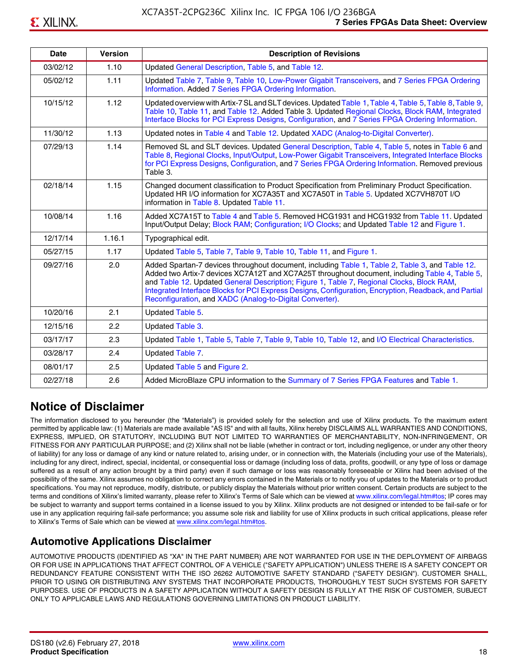| <b>Date</b> | <b>Version</b> | <b>Description of Revisions</b>                                                                                                                                                                                                                                                                                                                                                                                                                                     |
|-------------|----------------|---------------------------------------------------------------------------------------------------------------------------------------------------------------------------------------------------------------------------------------------------------------------------------------------------------------------------------------------------------------------------------------------------------------------------------------------------------------------|
| 03/02/12    | 1.10           | Updated General Description, Table 5, and Table 12.                                                                                                                                                                                                                                                                                                                                                                                                                 |
| 05/02/12    | 1.11           | Updated Table 7, Table 9, Table 10, Low-Power Gigabit Transceivers, and 7 Series FPGA Ordering<br>Information. Added 7 Series FPGA Ordering Information.                                                                                                                                                                                                                                                                                                            |
| 10/15/12    | 1.12           | Updated overview with Artix-7 SL and SLT devices. Updated Table 1, Table 4, Table 5, Table 8, Table 9,<br>Table 10, Table 11, and Table 12. Added Table 3. Updated Regional Clocks, Block RAM, Integrated<br>Interface Blocks for PCI Express Designs, Configuration, and 7 Series FPGA Ordering Information.                                                                                                                                                       |
| 11/30/12    | 1.13           | Updated notes in Table 4 and Table 12. Updated XADC (Analog-to-Digital Converter).                                                                                                                                                                                                                                                                                                                                                                                  |
| 07/29/13    | 1.14           | Removed SL and SLT devices. Updated General Description, Table 4, Table 5, notes in Table 6 and<br>Table 8, Regional Clocks, Input/Output, Low-Power Gigabit Transceivers, Integrated Interface Blocks<br>for PCI Express Designs, Configuration, and 7 Series FPGA Ordering Information. Removed previous<br>Table 3.                                                                                                                                              |
| 02/18/14    | 1.15           | Changed document classification to Product Specification from Preliminary Product Specification.<br>Updated HR I/O information for XC7A35T and XC7A50T in Table 5. Updated XC7VH870T I/O<br>information in Table 8. Updated Table 11.                                                                                                                                                                                                                               |
| 10/08/14    | 1.16           | Added XC7A15T to Table 4 and Table 5. Removed HCG1931 and HCG1932 from Table 11. Updated<br>Input/Output Delay; Block RAM; Configuration; I/O Clocks; and Updated Table 12 and Figure 1.                                                                                                                                                                                                                                                                            |
| 12/17/14    | 1.16.1         | Typographical edit.                                                                                                                                                                                                                                                                                                                                                                                                                                                 |
| 05/27/15    | 1.17           | Updated Table 5, Table 7, Table 9, Table 10, Table 11, and Figure 1.                                                                                                                                                                                                                                                                                                                                                                                                |
| 09/27/16    | 2.0            | Added Spartan-7 devices throughout document, including Table 1, Table 2, Table 3, and Table 12.<br>Added two Artix-7 devices XC7A12T and XC7A25T throughout document, including Table 4, Table 5,<br>and Table 12. Updated General Description; Figure 1, Table 7, Regional Clocks, Block RAM,<br>Integrated Interface Blocks for PCI Express Designs, Configuration, Encryption, Readback, and Partial<br>Reconfiguration, and XADC (Analog-to-Digital Converter). |
| 10/20/16    | 2.1            | Updated Table 5.                                                                                                                                                                                                                                                                                                                                                                                                                                                    |
| 12/15/16    | 2.2            | Updated Table 3.                                                                                                                                                                                                                                                                                                                                                                                                                                                    |
| 03/17/17    | 2.3            | Updated Table 1, Table 5, Table 7, Table 9, Table 10, Table 12, and I/O Electrical Characteristics.                                                                                                                                                                                                                                                                                                                                                                 |
| 03/28/17    | 2.4            | Updated Table 7.                                                                                                                                                                                                                                                                                                                                                                                                                                                    |
| 08/01/17    | 2.5            | Updated Table 5 and Figure 2.                                                                                                                                                                                                                                                                                                                                                                                                                                       |
| 02/27/18    | 2.6            | Added MicroBlaze CPU information to the Summary of 7 Series FPGA Features and Table 1.                                                                                                                                                                                                                                                                                                                                                                              |

### **Notice of Disclaimer**

The information disclosed to you hereunder (the "Materials") is provided solely for the selection and use of Xilinx products. To the maximum extent permitted by applicable law: (1) Materials are made available "AS IS" and with all faults, Xilinx hereby DISCLAIMS ALL WARRANTIES AND CONDITIONS, EXPRESS, IMPLIED, OR STATUTORY, INCLUDING BUT NOT LIMITED TO WARRANTIES OF MERCHANTABILITY, NON-INFRINGEMENT, OR FITNESS FOR ANY PARTICULAR PURPOSE; and (2) Xilinx shall not be liable (whether in contract or tort, including negligence, or under any other theory of liability) for any loss or damage of any kind or nature related to, arising under, or in connection with, the Materials (including your use of the Materials), including for any direct, indirect, special, incidental, or consequential loss or damage (including loss of data, profits, goodwill, or any type of loss or damage suffered as a result of any action brought by a third party) even if such damage or loss was reasonably foreseeable or Xilinx had been advised of the possibility of the same. Xilinx assumes no obligation to correct any errors contained in the Materials or to notify you of updates to the Materials or to product specifications. You may not reproduce, modify, distribute, or publicly display the Materials without prior written consent. Certain products are subject to the terms and conditions of Xilinx's limited warranty, please refer to Xilinx's Terms of Sale which can be viewed at [www.xilinx.com/legal.htm#tos;](www.xilinx.com/legal.htm#tos) IP cores may be subject to warranty and support terms contained in a license issued to you by Xilinx. Xilinx products are not designed or intended to be fail-safe or for use in any application requiring fail-safe performance; you assume sole risk and liability for use of Xilinx products in such critical applications, please refer to Xilinx's Terms of Sale which can be viewed at <www.xilinx.com/legal.htm#tos>.

### **Automotive Applications Disclaimer**

AUTOMOTIVE PRODUCTS (IDENTIFIED AS "XA" IN THE PART NUMBER) ARE NOT WARRANTED FOR USE IN THE DEPLOYMENT OF AIRBAGS OR FOR USE IN APPLICATIONS THAT AFFECT CONTROL OF A VEHICLE ("SAFETY APPLICATION") UNLESS THERE IS A SAFETY CONCEPT OR REDUNDANCY FEATURE CONSISTENT WITH THE ISO 26262 AUTOMOTIVE SAFETY STANDARD ("SAFETY DESIGN"). CUSTOMER SHALL, PRIOR TO USING OR DISTRIBUTING ANY SYSTEMS THAT INCORPORATE PRODUCTS, THOROUGHLY TEST SUCH SYSTEMS FOR SAFETY PURPOSES. USE OF PRODUCTS IN A SAFETY APPLICATION WITHOUT A SAFETY DESIGN IS FULLY AT THE RISK OF CUSTOMER, SUBJECT ONLY TO APPLICABLE LAWS AND REGULATIONS GOVERNING LIMITATIONS ON PRODUCT LIABILITY.